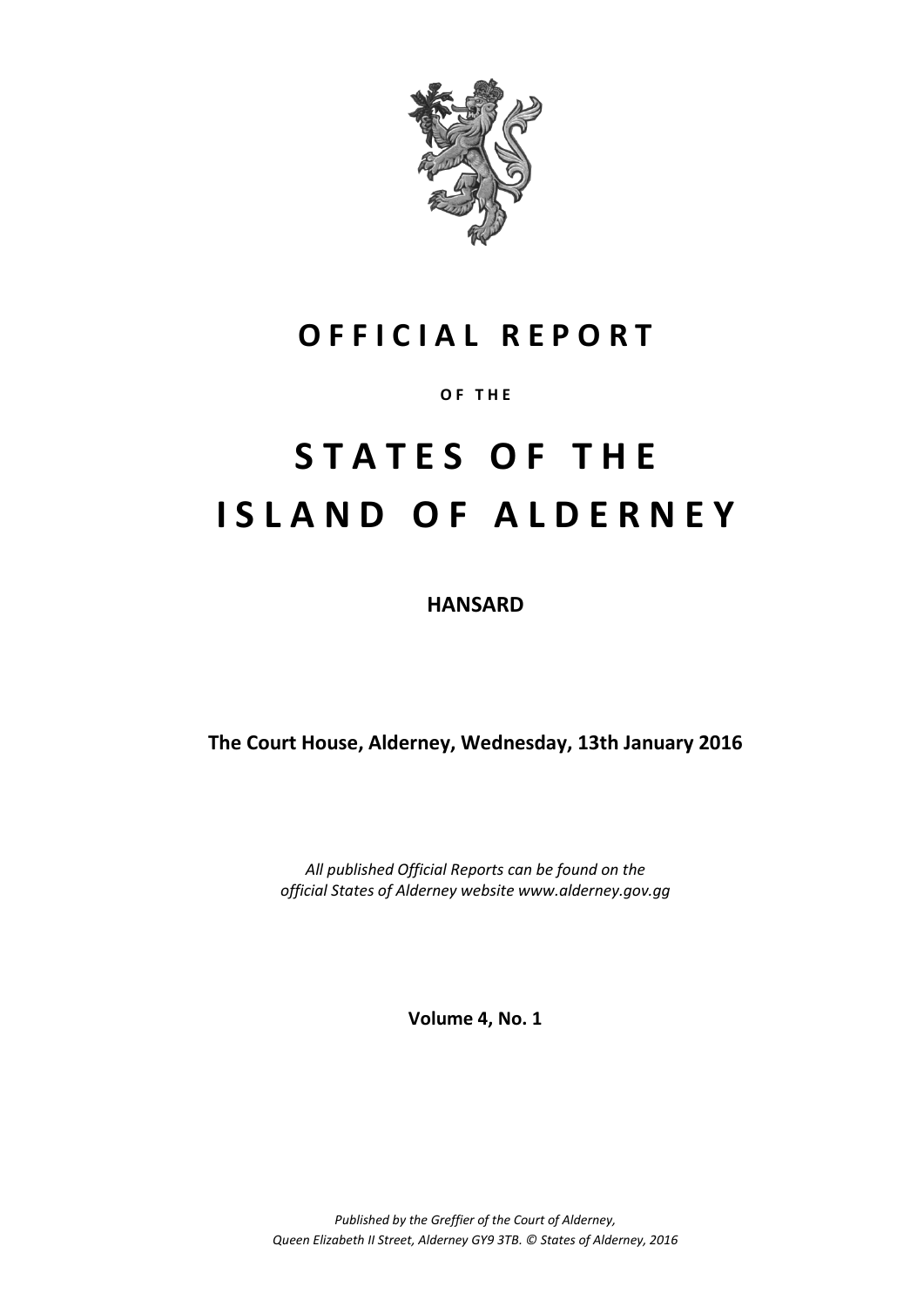

# **O F F I C I A L R E P O R T**

### **O F T H E**

# **S T A T E S O F T H E I S L A N D O F A L D E R N E Y**

**HANSARD**

**The Court House, Alderney, Wednesday, 13th January 2016**

*All published Official Reports can be found on the official States of Alderney website www.alderney.gov.gg*

**Volume 4, No. 1**

*Published by the Greffier of the Court of Alderney, Queen Elizabeth II Street, Alderney GY9 3TB. © States of Alderney, 2016*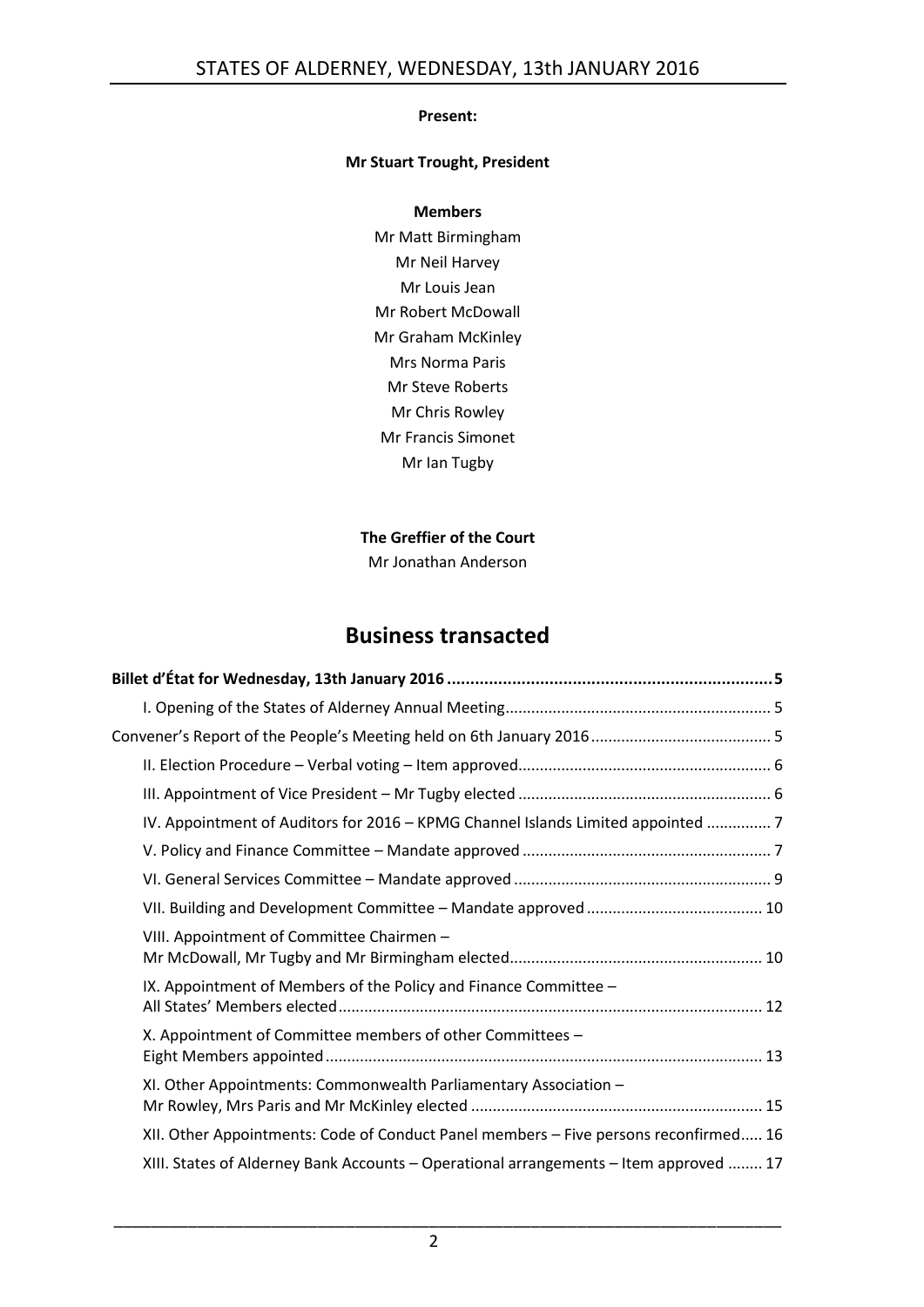### **Present:**

### **Mr Stuart Trought, President**

### **Members**

Mr Matt Birmingham Mr Neil Harvey Mr Louis Jean Mr Robert McDowall Mr Graham McKinley Mrs Norma Paris Mr Steve Roberts Mr Chris Rowley Mr Francis Simonet Mr Ian Tugby

### **The Greffier of the Court**

Mr Jonathan Anderson

### **Business transacted**

| Billet d'État for Wednesday, 13th January 2016 ……………………………………………………………………5            |
|---------------------------------------------------------------------------------------|
|                                                                                       |
|                                                                                       |
|                                                                                       |
|                                                                                       |
| IV. Appointment of Auditors for 2016 – KPMG Channel Islands Limited appointed  7      |
|                                                                                       |
|                                                                                       |
|                                                                                       |
| VIII. Appointment of Committee Chairmen -                                             |
| IX. Appointment of Members of the Policy and Finance Committee $-$                    |
| X. Appointment of Committee members of other Committees -                             |
| XI. Other Appointments: Commonwealth Parliamentary Association -                      |
| XII. Other Appointments: Code of Conduct Panel members - Five persons reconfirmed 16  |
| XIII. States of Alderney Bank Accounts - Operational arrangements - Item approved  17 |
|                                                                                       |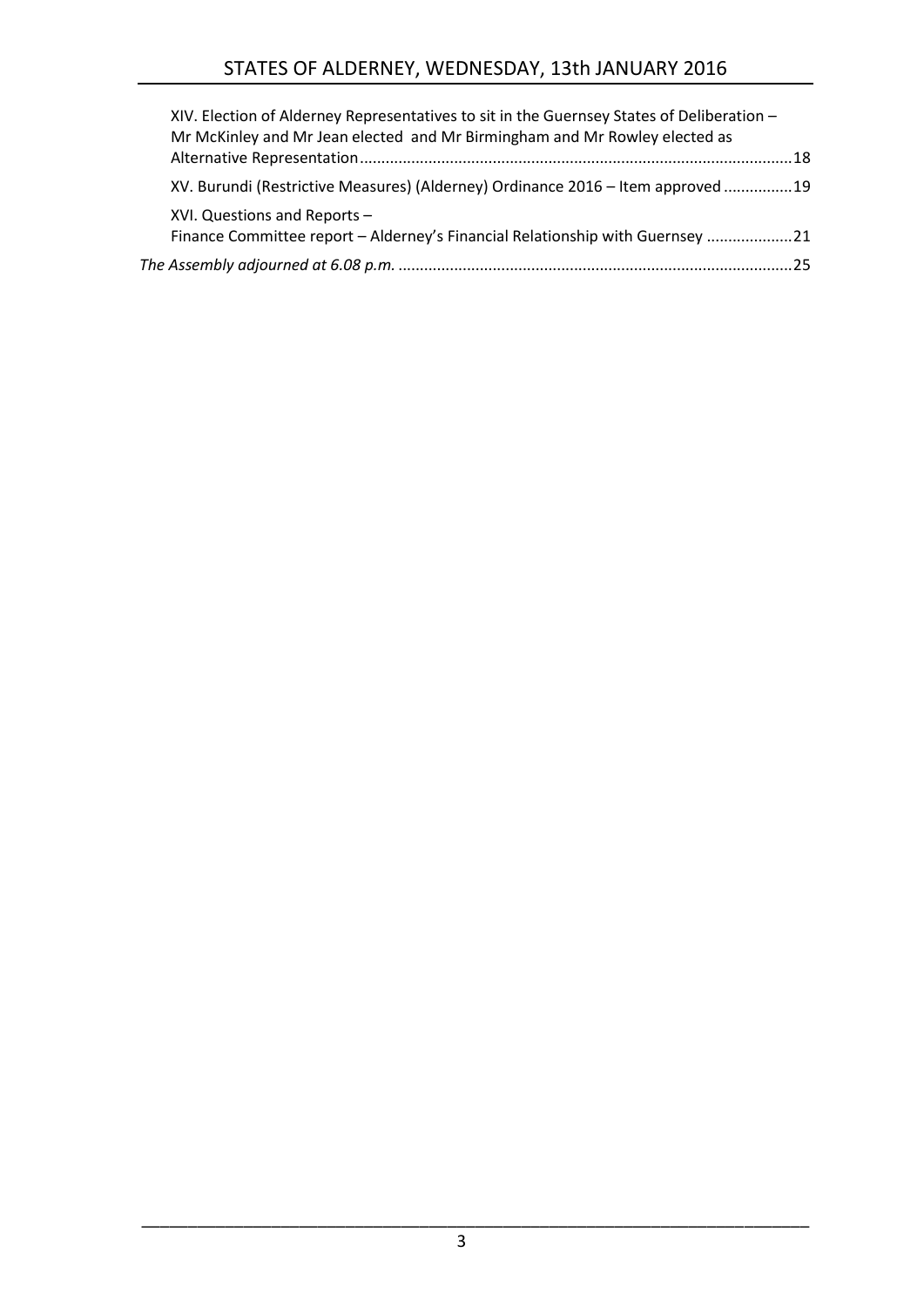| XIV. Election of Alderney Representatives to sit in the Guernsey States of Deliberation - |  |
|-------------------------------------------------------------------------------------------|--|
| Mr McKinley and Mr Jean elected and Mr Birmingham and Mr Rowley elected as                |  |
|                                                                                           |  |
| XV. Burundi (Restrictive Measures) (Alderney) Ordinance 2016 - Item approved 19           |  |
| XVI. Questions and Reports -                                                              |  |
| Finance Committee report - Alderney's Financial Relationship with Guernsey 21             |  |
|                                                                                           |  |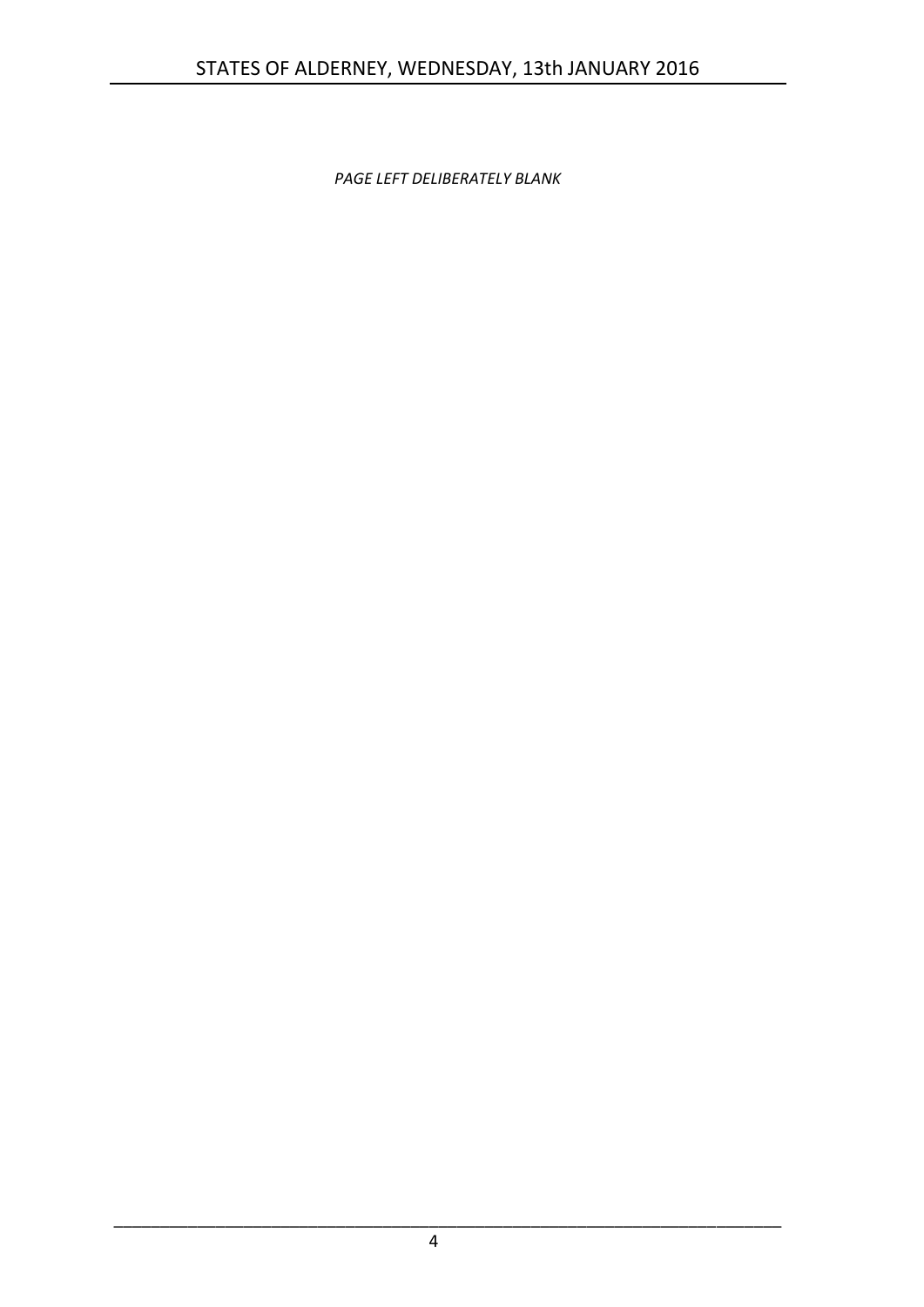*PAGE LEFT DELIBERATELY BLANK*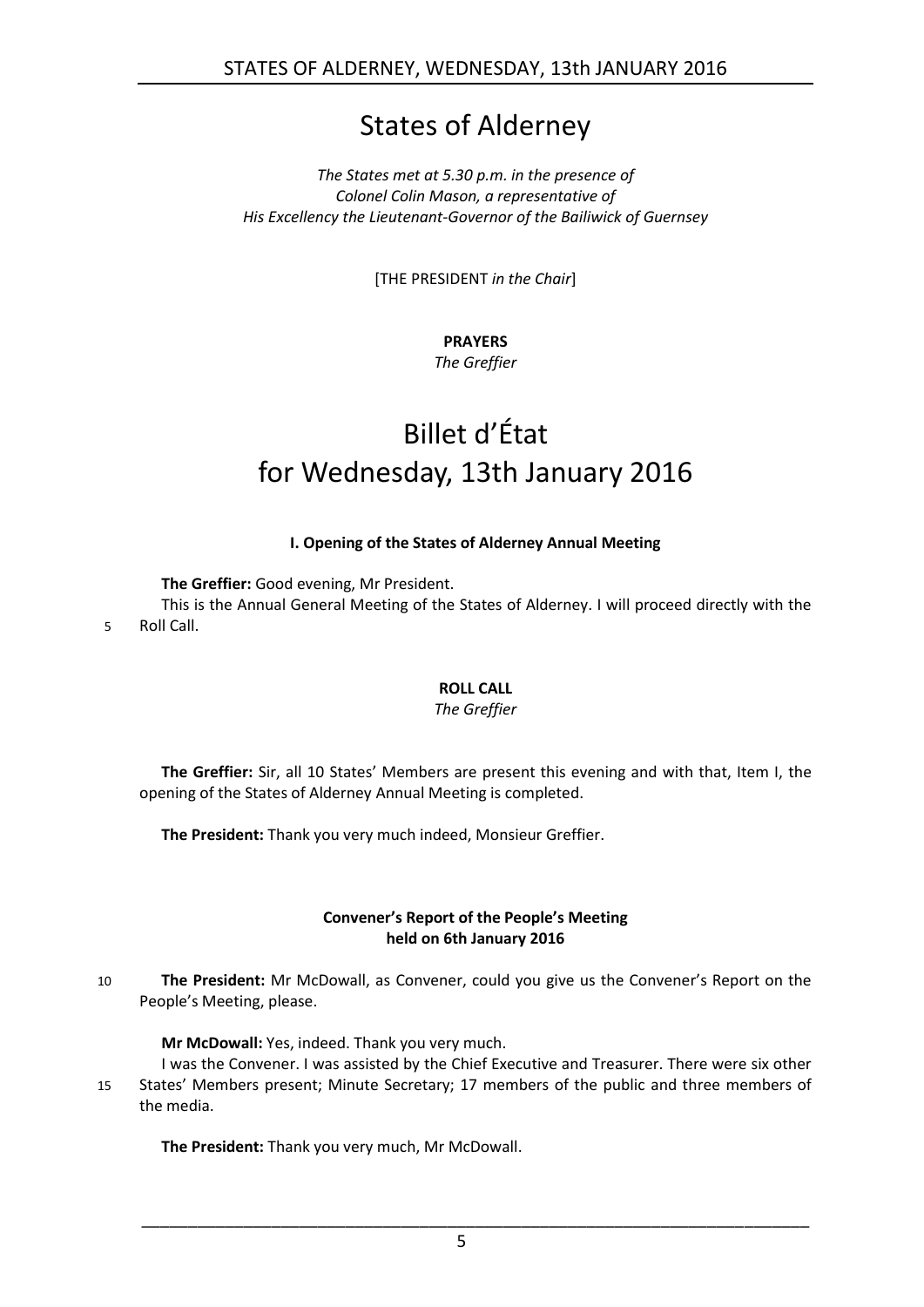## States of Alderney

### *The States met at 5.30 p.m. in the presence of Colonel Colin Mason, a representative of His Excellency the Lieutenant-Governor of the Bailiwick of Guernsey*

[THE PRESIDENT *in the Chair*]

### **PRAYERS**

*The Greffier*

# <span id="page-4-0"></span>Billet d'État for Wednesday, 13th January 2016

### **I. Opening of the States of Alderney Annual Meeting**

<span id="page-4-1"></span>**The Greffier:** Good evening, Mr President.

This is the Annual General Meeting of the States of Alderney. I will proceed directly with the 5 Roll Call.

### **ROLL CALL**

### *The Greffier*

**The Greffier:** Sir, all 10 States' Members are present this evening and with that, Item I, the opening of the States of Alderney Annual Meeting is completed.

**The President:** Thank you very much indeed, Monsieur Greffier.

### **Convener's Report of the People's Meeting held on 6th January 2016**

<span id="page-4-2"></span>10 **The President:** Mr McDowall, as Convener, could you give us the Convener's Report on the People's Meeting, please.

**Mr McDowall:** Yes, indeed. Thank you very much.

I was the Convener. I was assisted by the Chief Executive and Treasurer. There were six other 15 States' Members present; Minute Secretary; 17 members of the public and three members of the media.

**The President:** Thank you very much, Mr McDowall.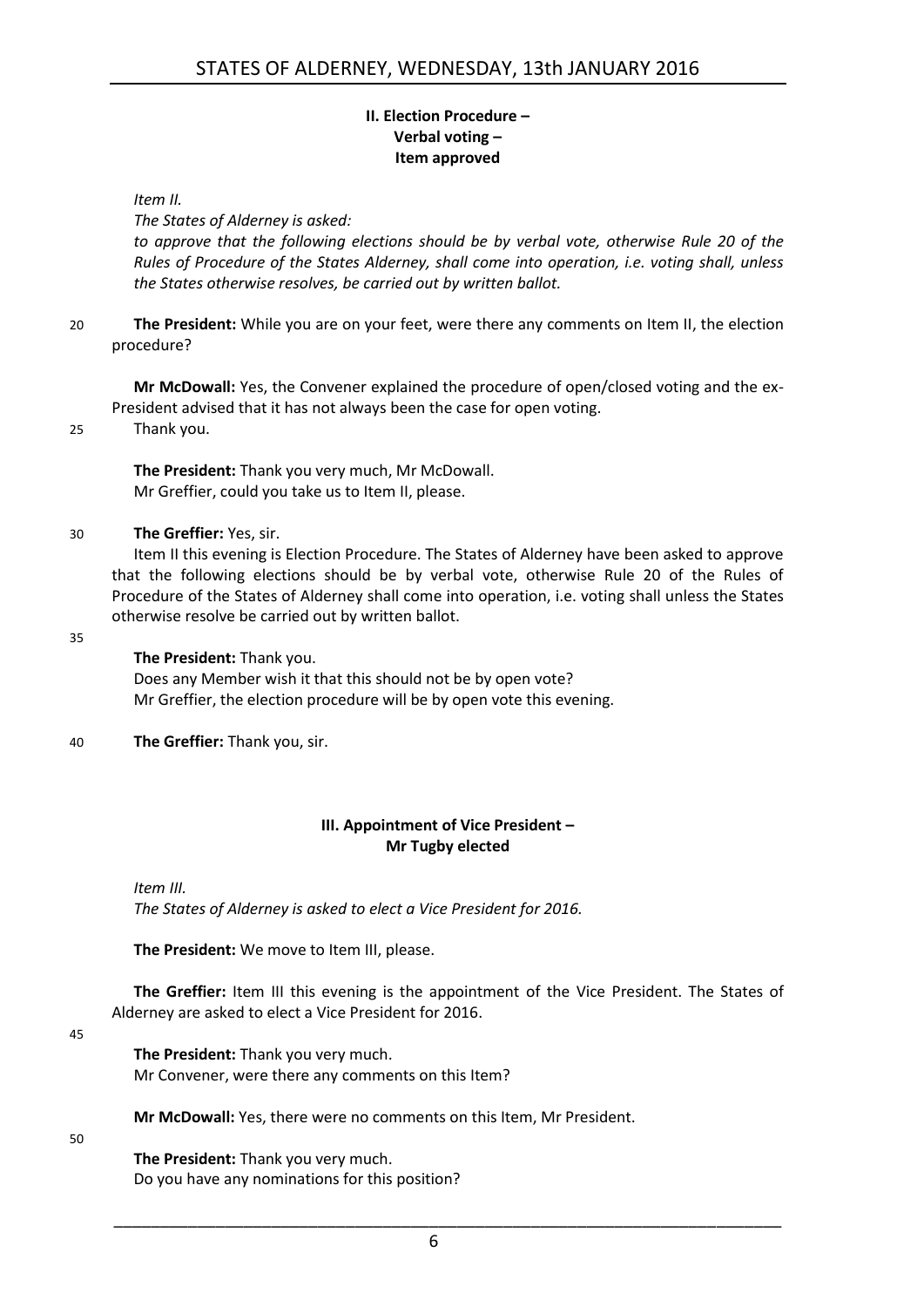### **II. Election Procedure – Verbal voting – Item approved**

<span id="page-5-0"></span>*Item II.*

*The States of Alderney is asked:*

*to approve that the following elections should be by verbal vote, otherwise Rule 20 of the Rules of Procedure of the States Alderney, shall come into operation, i.e. voting shall, unless the States otherwise resolves, be carried out by written ballot.*

20 **The President:** While you are on your feet, were there any comments on Item II, the election procedure?

**Mr McDowall:** Yes, the Convener explained the procedure of open/closed voting and the ex-President advised that it has not always been the case for open voting.

25 Thank you.

**The President:** Thank you very much, Mr McDowall. Mr Greffier, could you take us to Item II, please.

### 30 **The Greffier:** Yes, sir.

Item II this evening is Election Procedure. The States of Alderney have been asked to approve that the following elections should be by verbal vote, otherwise Rule 20 of the Rules of Procedure of the States of Alderney shall come into operation, i.e. voting shall unless the States otherwise resolve be carried out by written ballot.

35

### **The President:** Thank you.

Does any Member wish it that this should not be by open vote? Mr Greffier, the election procedure will be by open vote this evening.

40 **The Greffier:** Thank you, sir.

### **III. Appointment of Vice President – Mr Tugby elected**

<span id="page-5-1"></span>*Item III. The States of Alderney is asked to elect a Vice President for 2016.*

**The President:** We move to Item III, please.

**The Greffier:** Item III this evening is the appointment of the Vice President. The States of Alderney are asked to elect a Vice President for 2016.

45

**The President:** Thank you very much. Mr Convener, were there any comments on this Item?

**Mr McDowall:** Yes, there were no comments on this Item, Mr President.

#### 50

**The President:** Thank you very much. Do you have any nominations for this position?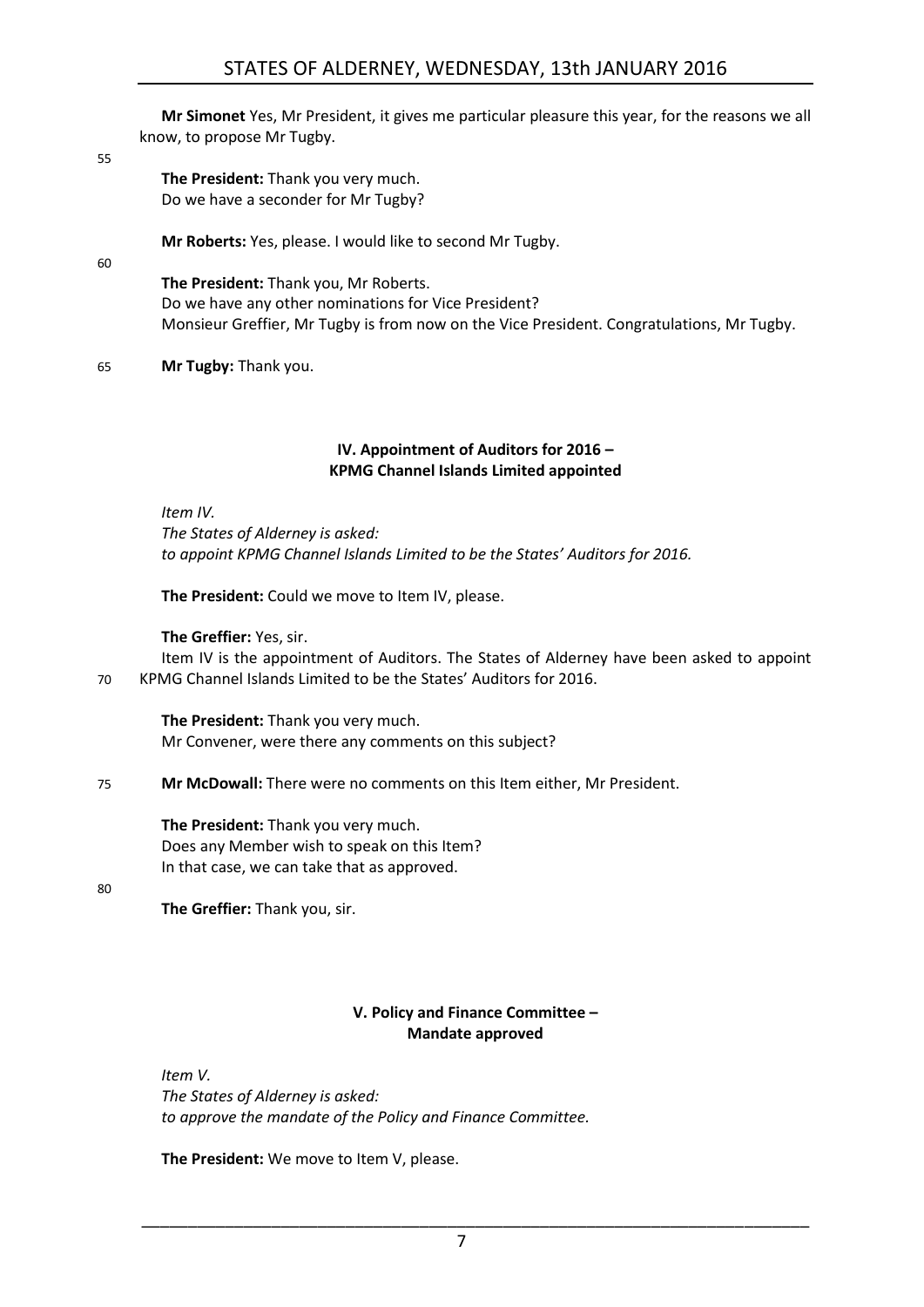**Mr Simonet** Yes, Mr President, it gives me particular pleasure this year, for the reasons we all know, to propose Mr Tugby.

55

60

**The President:** Thank you very much. Do we have a seconder for Mr Tugby?

**Mr Roberts:** Yes, please. I would like to second Mr Tugby.

**The President:** Thank you, Mr Roberts. Do we have any other nominations for Vice President? Monsieur Greffier, Mr Tugby is from now on the Vice President. Congratulations, Mr Tugby.

65 **Mr Tugby:** Thank you.

### **IV. Appointment of Auditors for 2016 – KPMG Channel Islands Limited appointed**

<span id="page-6-0"></span>*Item IV. The States of Alderney is asked: to appoint KPMG Channel Islands Limited to be the States' Auditors for 2016.*

**The President:** Could we move to Item IV, please.

**The Greffier:** Yes, sir.

Item IV is the appointment of Auditors. The States of Alderney have been asked to appoint 70 KPMG Channel Islands Limited to be the States' Auditors for 2016.

**The President:** Thank you very much. Mr Convener, were there any comments on this subject?

### 75 **Mr McDowall:** There were no comments on this Item either, Mr President.

**The President:** Thank you very much. Does any Member wish to speak on this Item? In that case, we can take that as approved.

80

**The Greffier:** Thank you, sir.

### **V. Policy and Finance Committee – Mandate approved**

<span id="page-6-1"></span>*Item V. The States of Alderney is asked: to approve the mandate of the Policy and Finance Committee.*

**The President:** We move to Item V, please.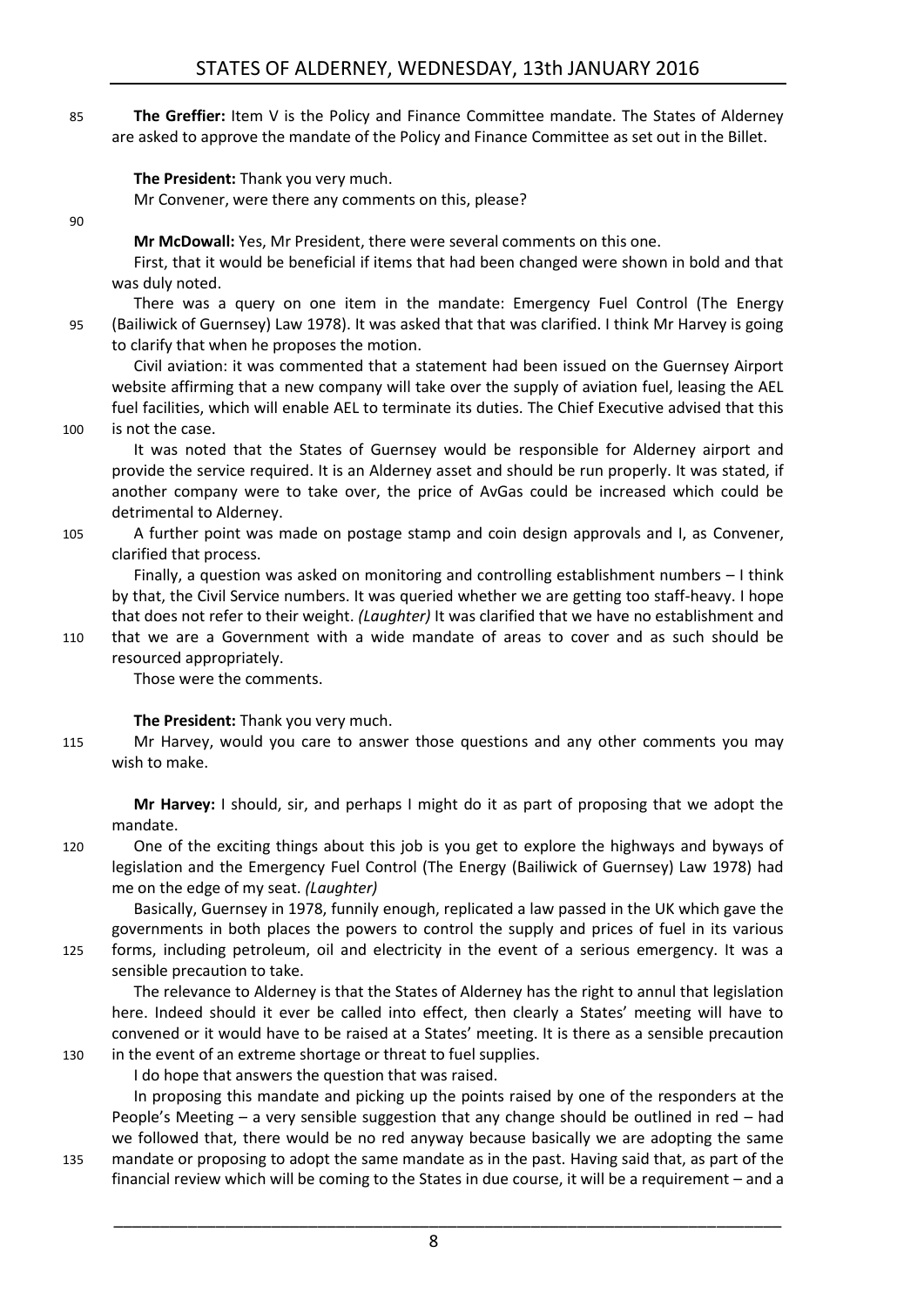85 **The Greffier:** Item V is the Policy and Finance Committee mandate. The States of Alderney are asked to approve the mandate of the Policy and Finance Committee as set out in the Billet.

**The President:** Thank you very much.

Mr Convener, were there any comments on this, please?

90

**Mr McDowall:** Yes, Mr President, there were several comments on this one.

First, that it would be beneficial if items that had been changed were shown in bold and that was duly noted.

There was a query on one item in the mandate: Emergency Fuel Control (The Energy 95 (Bailiwick of Guernsey) Law 1978). It was asked that that was clarified. I think Mr Harvey is going to clarify that when he proposes the motion.

Civil aviation: it was commented that a statement had been issued on the Guernsey Airport website affirming that a new company will take over the supply of aviation fuel, leasing the AEL fuel facilities, which will enable AEL to terminate its duties. The Chief Executive advised that this 100 is not the case.

It was noted that the States of Guernsey would be responsible for Alderney airport and provide the service required. It is an Alderney asset and should be run properly. It was stated, if another company were to take over, the price of AvGas could be increased which could be detrimental to Alderney.

105 A further point was made on postage stamp and coin design approvals and I, as Convener, clarified that process.

Finally, a question was asked on monitoring and controlling establishment numbers – I think by that, the Civil Service numbers. It was queried whether we are getting too staff-heavy. I hope that does not refer to their weight. *(Laughter)* It was clarified that we have no establishment and

110 that we are a Government with a wide mandate of areas to cover and as such should be resourced appropriately.

Those were the comments.

**The President:** Thank you very much.

115 Mr Harvey, would you care to answer those questions and any other comments you may wish to make.

**Mr Harvey:** I should, sir, and perhaps I might do it as part of proposing that we adopt the mandate.

120 One of the exciting things about this job is you get to explore the highways and byways of legislation and the Emergency Fuel Control (The Energy (Bailiwick of Guernsey) Law 1978) had me on the edge of my seat. *(Laughter)*

Basically, Guernsey in 1978, funnily enough, replicated a law passed in the UK which gave the governments in both places the powers to control the supply and prices of fuel in its various 125 forms, including petroleum, oil and electricity in the event of a serious emergency. It was a sensible precaution to take.

The relevance to Alderney is that the States of Alderney has the right to annul that legislation here. Indeed should it ever be called into effect, then clearly a States' meeting will have to convened or it would have to be raised at a States' meeting. It is there as a sensible precaution 130 in the event of an extreme shortage or threat to fuel supplies.

I do hope that answers the question that was raised.

In proposing this mandate and picking up the points raised by one of the responders at the People's Meeting – a very sensible suggestion that any change should be outlined in red – had we followed that, there would be no red anyway because basically we are adopting the same

135 mandate or proposing to adopt the same mandate as in the past. Having said that, as part of the financial review which will be coming to the States in due course, it will be a requirement – and a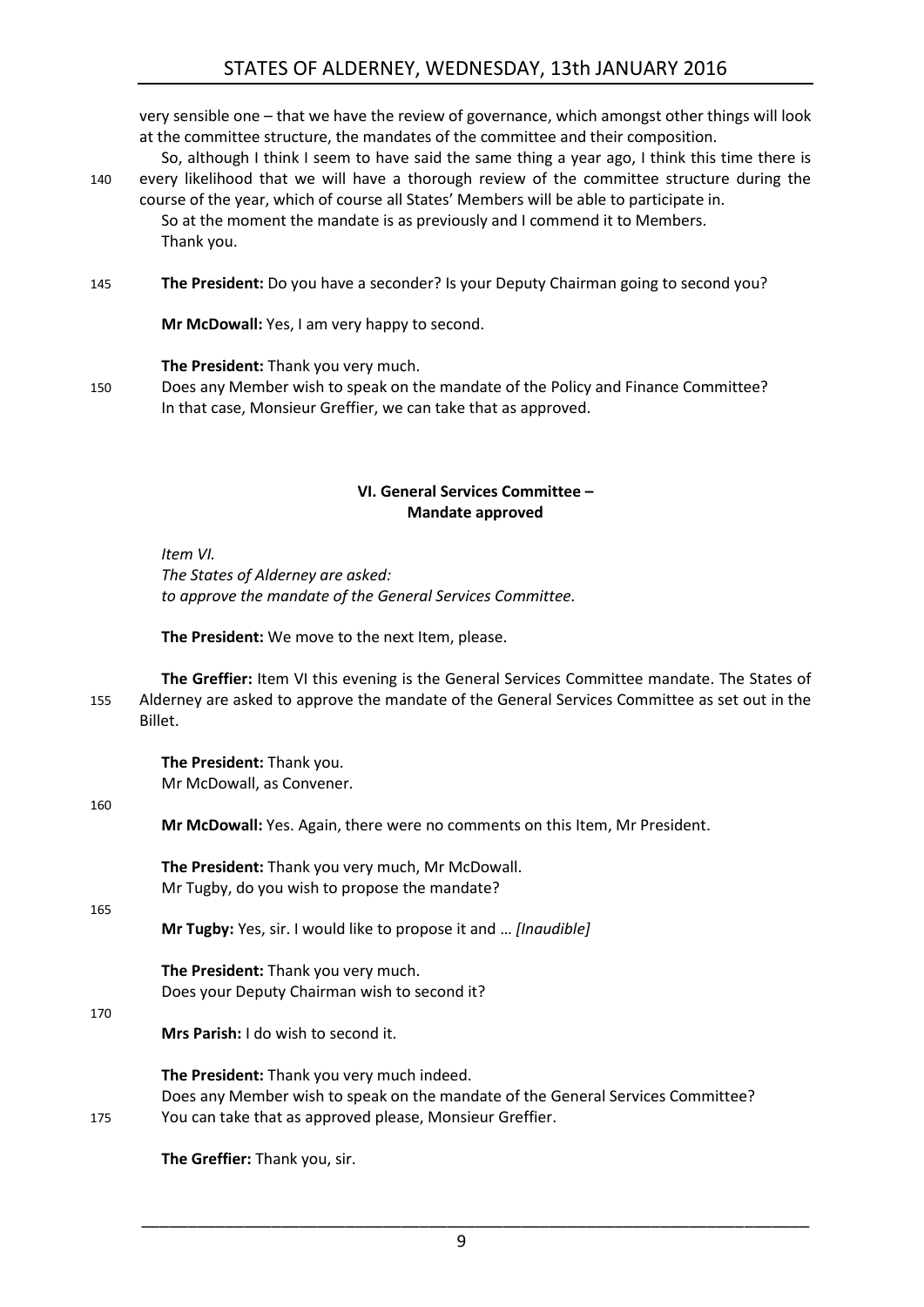very sensible one – that we have the review of governance, which amongst other things will look at the committee structure, the mandates of the committee and their composition.

So, although I think I seem to have said the same thing a year ago, I think this time there is 140 every likelihood that we will have a thorough review of the committee structure during the course of the year, which of course all States' Members will be able to participate in.

So at the moment the mandate is as previously and I commend it to Members. Thank you.

145 **The President:** Do you have a seconder? Is your Deputy Chairman going to second you?

**Mr McDowall:** Yes, I am very happy to second.

**The President:** Thank you very much.

150 Does any Member wish to speak on the mandate of the Policy and Finance Committee? In that case, Monsieur Greffier, we can take that as approved.

### **VI. General Services Committee – Mandate approved**

<span id="page-8-0"></span>*Item VI. The States of Alderney are asked: to approve the mandate of the General Services Committee.*

**The President:** We move to the next Item, please.

**The Greffier:** Item VI this evening is the General Services Committee mandate. The States of 155 Alderney are asked to approve the mandate of the General Services Committee as set out in the Billet.

**The President:** Thank you. Mr McDowall, as Convener.

### 160

**Mr McDowall:** Yes. Again, there were no comments on this Item, Mr President.

**The President:** Thank you very much, Mr McDowall. Mr Tugby, do you wish to propose the mandate?

### 165

**Mr Tugby:** Yes, sir. I would like to propose it and … *[Inaudible]*

**The President:** Thank you very much. Does your Deputy Chairman wish to second it?

170

**Mrs Parish:** I do wish to second it.

**The President:** Thank you very much indeed. Does any Member wish to speak on the mandate of the General Services Committee? 175 You can take that as approved please, Monsieur Greffier.

**The Greffier:** Thank you, sir.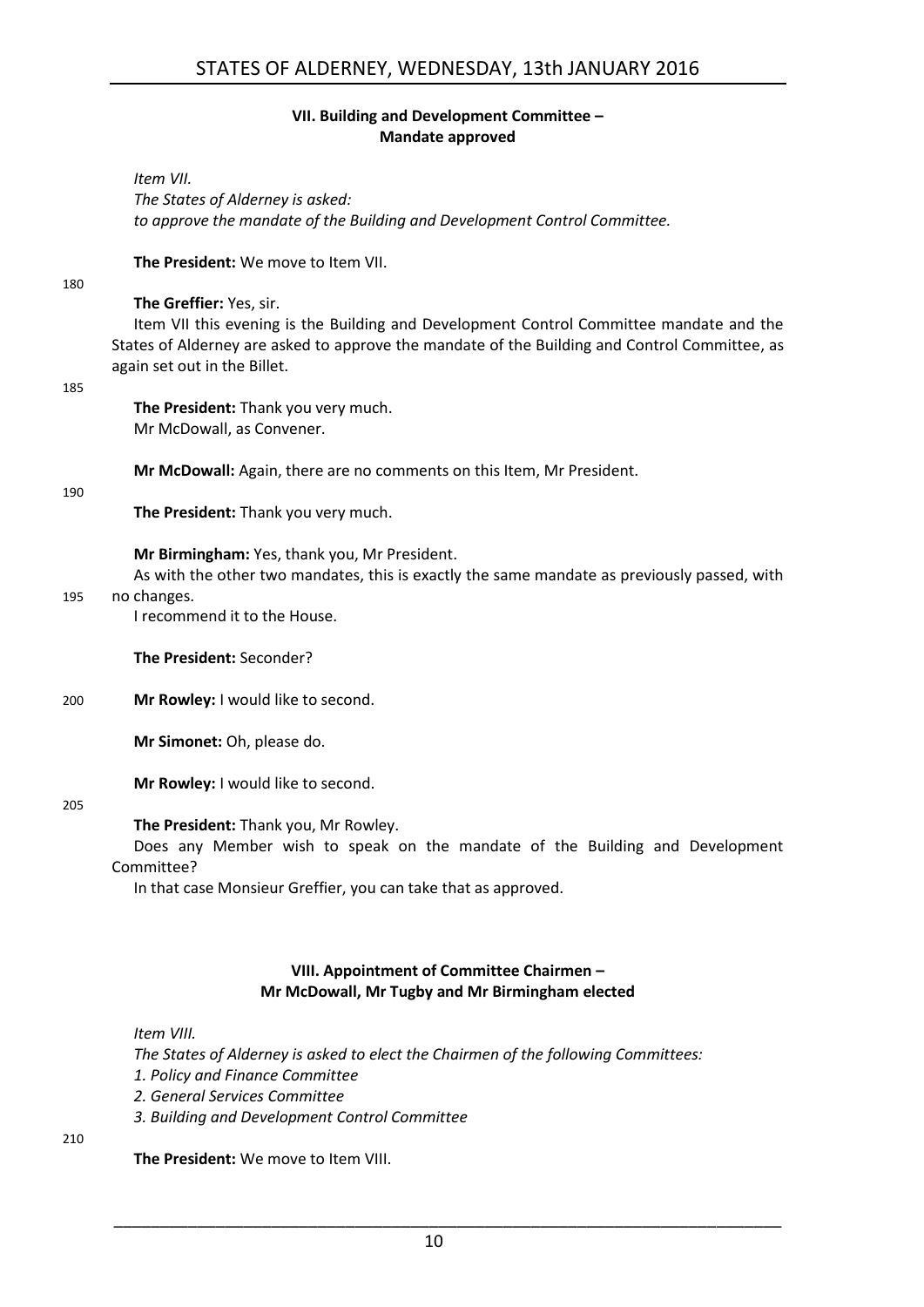### **VII. Building and Development Committee – Mandate approved**

<span id="page-9-0"></span>*Item VII. The States of Alderney is asked: to approve the mandate of the Building and Development Control Committee.*

**The President:** We move to Item VII.

#### **The Greffier:** Yes, sir.

Item VII this evening is the Building and Development Control Committee mandate and the States of Alderney are asked to approve the mandate of the Building and Control Committee, as again set out in the Billet.

185

180

**The President:** Thank you very much. Mr McDowall, as Convener.

**Mr McDowall:** Again, there are no comments on this Item, Mr President.

190

**The President:** Thank you very much.

**Mr Birmingham:** Yes, thank you, Mr President.

As with the other two mandates, this is exactly the same mandate as previously passed, with

195 no changes.

I recommend it to the House.

**The President:** Seconder?

200 **Mr Rowley:** I would like to second.

**Mr Simonet:** Oh, please do.

**Mr Rowley:** I would like to second.

205

### **The President:** Thank you, Mr Rowley.

Does any Member wish to speak on the mandate of the Building and Development Committee?

In that case Monsieur Greffier, you can take that as approved.

### **VIII. Appointment of Committee Chairmen – Mr McDowall, Mr Tugby and Mr Birmingham elected**

<span id="page-9-1"></span>*Item VIII.* 

*The States of Alderney is asked to elect the Chairmen of the following Committees: 1. Policy and Finance Committee*

- *2. General Services Committee*
- *3. Building and Development Control Committee*

210

**The President:** We move to Item VIII.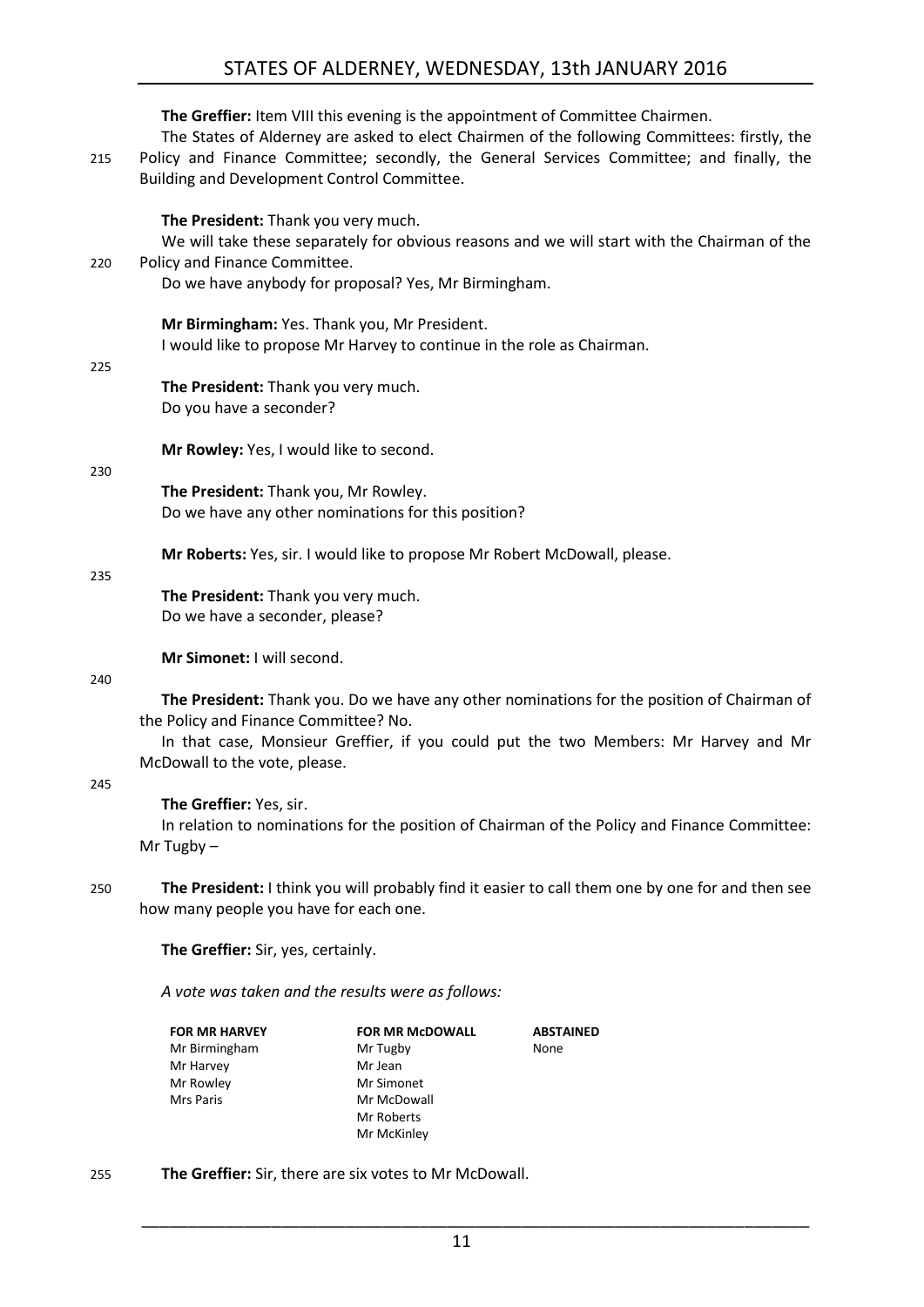| 215 | The Greffier: Item VIII this evening is the appointment of Committee Chairmen.<br>The States of Alderney are asked to elect Chairmen of the following Committees: firstly, the<br>Policy and Finance Committee; secondly, the General Services Committee; and finally, the<br>Building and Development Control Committee. |                                                                                                                                                                                             |                                                                                              |  |  |  |  |  |
|-----|---------------------------------------------------------------------------------------------------------------------------------------------------------------------------------------------------------------------------------------------------------------------------------------------------------------------------|---------------------------------------------------------------------------------------------------------------------------------------------------------------------------------------------|----------------------------------------------------------------------------------------------|--|--|--|--|--|
| 220 | Policy and Finance Committee.                                                                                                                                                                                                                                                                                             | The President: Thank you very much.<br>We will take these separately for obvious reasons and we will start with the Chairman of the<br>Do we have anybody for proposal? Yes, Mr Birmingham. |                                                                                              |  |  |  |  |  |
| 225 |                                                                                                                                                                                                                                                                                                                           | Mr Birmingham: Yes. Thank you, Mr President.<br>I would like to propose Mr Harvey to continue in the role as Chairman.                                                                      |                                                                                              |  |  |  |  |  |
|     | The President: Thank you very much.<br>Do you have a seconder?                                                                                                                                                                                                                                                            |                                                                                                                                                                                             |                                                                                              |  |  |  |  |  |
|     | Mr Rowley: Yes, I would like to second.                                                                                                                                                                                                                                                                                   |                                                                                                                                                                                             |                                                                                              |  |  |  |  |  |
| 230 | The President: Thank you, Mr Rowley.                                                                                                                                                                                                                                                                                      | Do we have any other nominations for this position?                                                                                                                                         |                                                                                              |  |  |  |  |  |
|     |                                                                                                                                                                                                                                                                                                                           | Mr Roberts: Yes, sir. I would like to propose Mr Robert McDowall, please.                                                                                                                   |                                                                                              |  |  |  |  |  |
| 235 | The President: Thank you very much.<br>Do we have a seconder, please?                                                                                                                                                                                                                                                     |                                                                                                                                                                                             |                                                                                              |  |  |  |  |  |
|     | Mr Simonet: I will second.                                                                                                                                                                                                                                                                                                |                                                                                                                                                                                             |                                                                                              |  |  |  |  |  |
| 240 | The President: Thank you. Do we have any other nominations for the position of Chairman of<br>the Policy and Finance Committee? No.<br>In that case, Monsieur Greffier, if you could put the two Members: Mr Harvey and Mr<br>McDowall to the vote, please.                                                               |                                                                                                                                                                                             |                                                                                              |  |  |  |  |  |
| 245 |                                                                                                                                                                                                                                                                                                                           |                                                                                                                                                                                             |                                                                                              |  |  |  |  |  |
|     | The Greffier: Yes, sir.<br>Mr Tugby $-$                                                                                                                                                                                                                                                                                   |                                                                                                                                                                                             | In relation to nominations for the position of Chairman of the Policy and Finance Committee: |  |  |  |  |  |
| 250 | The President: I think you will probably find it easier to call them one by one for and then see<br>how many people you have for each one.                                                                                                                                                                                |                                                                                                                                                                                             |                                                                                              |  |  |  |  |  |
|     | The Greffier: Sir, yes, certainly.                                                                                                                                                                                                                                                                                        |                                                                                                                                                                                             |                                                                                              |  |  |  |  |  |
|     |                                                                                                                                                                                                                                                                                                                           | A vote was taken and the results were as follows:                                                                                                                                           |                                                                                              |  |  |  |  |  |
|     | <b>FOR MR HARVEY</b><br>Mr Birmingham<br>Mr Harvey<br>Mr Rowley<br><b>Mrs Paris</b>                                                                                                                                                                                                                                       | FOR MR McDOWALL<br>Mr Tugby<br>Mr Jean<br>Mr Simonet<br>Mr McDowall<br>Mr Roberts<br>Mr McKinley                                                                                            | <b>ABSTAINED</b><br>None                                                                     |  |  |  |  |  |

255 **The Greffier:** Sir, there are six votes to Mr McDowall.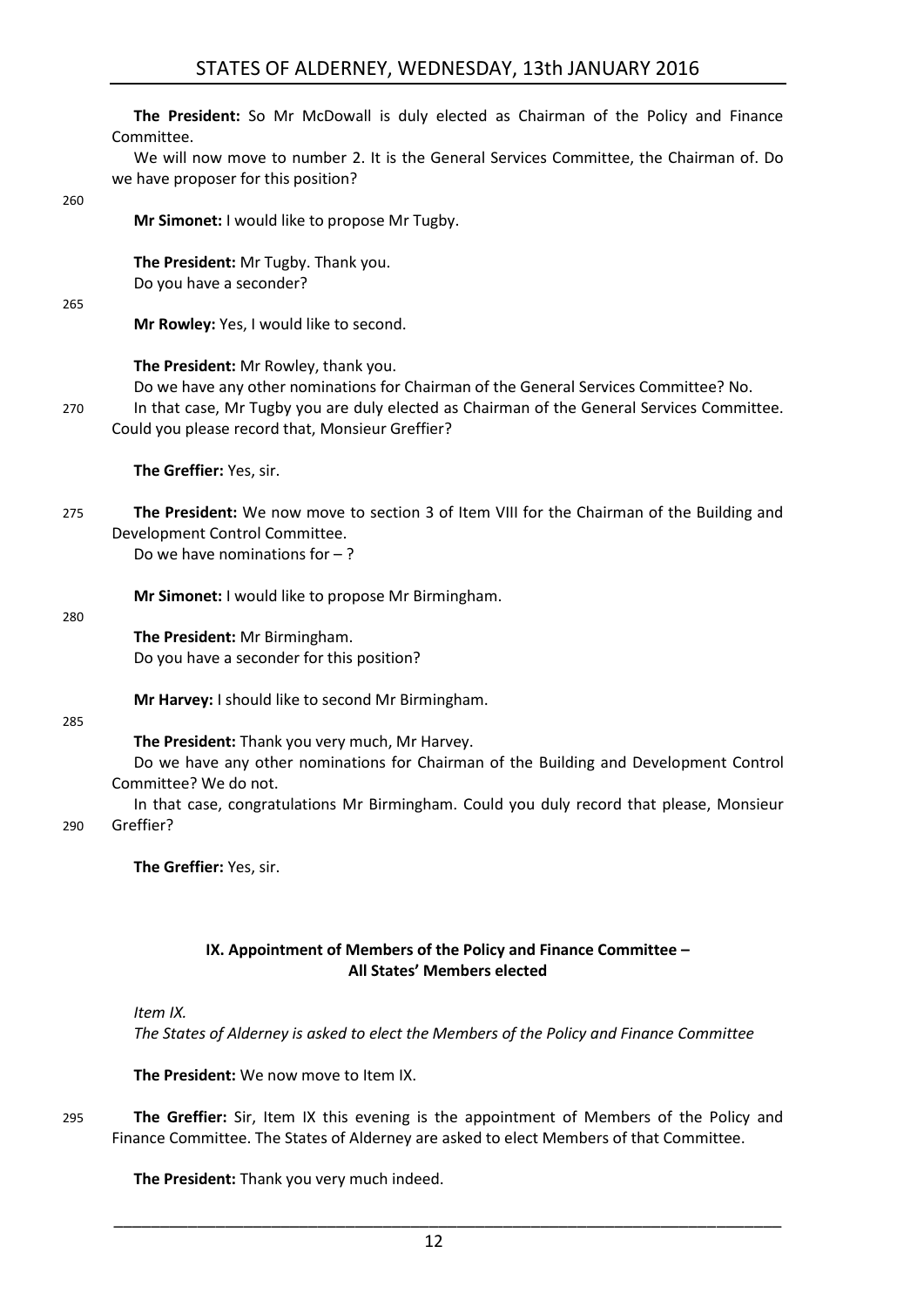| The President: So Mr McDowall is duly elected as Chairman of the Policy and Finance |  |  |  |  |  |  |  |
|-------------------------------------------------------------------------------------|--|--|--|--|--|--|--|
| Committee.                                                                          |  |  |  |  |  |  |  |

We will now move to number 2. It is the General Services Committee, the Chairman of. Do we have proposer for this position?

260

**Mr Simonet:** I would like to propose Mr Tugby.

**The President:** Mr Tugby. Thank you. Do you have a seconder?

265

**Mr Rowley:** Yes, I would like to second.

**The President:** Mr Rowley, thank you.

Do we have any other nominations for Chairman of the General Services Committee? No. 270 In that case, Mr Tugby you are duly elected as Chairman of the General Services Committee. Could you please record that, Monsieur Greffier?

**The Greffier:** Yes, sir.

275 **The President:** We now move to section 3 of Item VIII for the Chairman of the Building and Development Control Committee.

Do we have nominations for  $-$  ?

**Mr Simonet:** I would like to propose Mr Birmingham.

280

**The President:** Mr Birmingham. Do you have a seconder for this position?

**Mr Harvey:** I should like to second Mr Birmingham.

285

**The President:** Thank you very much, Mr Harvey.

Do we have any other nominations for Chairman of the Building and Development Control Committee? We do not.

In that case, congratulations Mr Birmingham. Could you duly record that please, Monsieur 290 Greffier?

**The Greffier:** Yes, sir.

### **IX. Appointment of Members of the Policy and Finance Committee – All States' Members elected**

<span id="page-11-0"></span>*Item IX.* 

*The States of Alderney is asked to elect the Members of the Policy and Finance Committee*

**The President:** We now move to Item IX.

295 **The Greffier:** Sir, Item IX this evening is the appointment of Members of the Policy and Finance Committee. The States of Alderney are asked to elect Members of that Committee.

**The President:** Thank you very much indeed.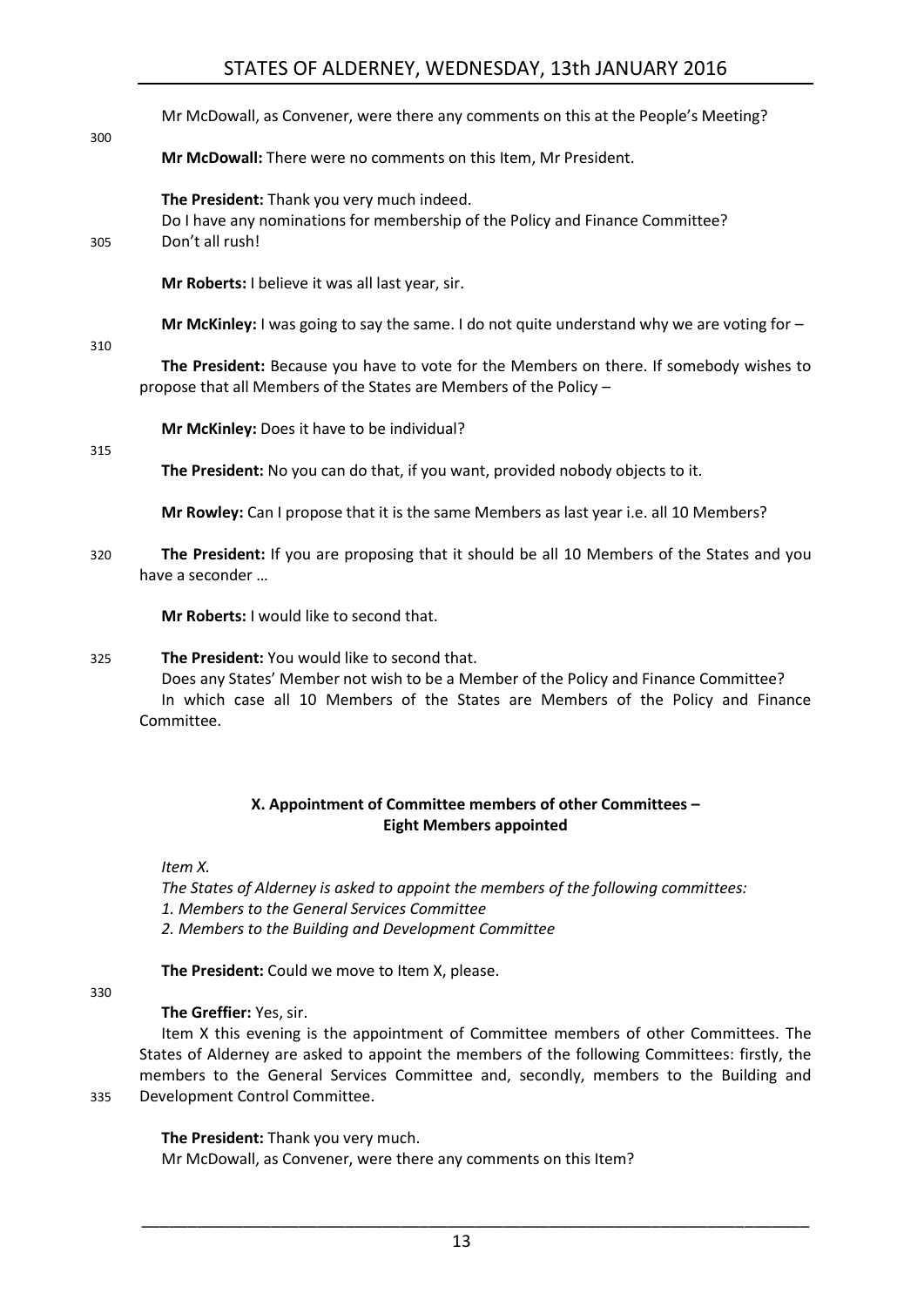| 300 | Mr McDowall, as Convener, were there any comments on this at the People's Meeting?                                                                                                                                                      |
|-----|-----------------------------------------------------------------------------------------------------------------------------------------------------------------------------------------------------------------------------------------|
|     | Mr McDowall: There were no comments on this Item, Mr President.                                                                                                                                                                         |
| 305 | The President: Thank you very much indeed.<br>Do I have any nominations for membership of the Policy and Finance Committee?<br>Don't all rush!                                                                                          |
|     | Mr Roberts: I believe it was all last year, sir.                                                                                                                                                                                        |
|     | Mr McKinley: I was going to say the same. I do not quite understand why we are voting for $-$                                                                                                                                           |
| 310 | The President: Because you have to vote for the Members on there. If somebody wishes to<br>propose that all Members of the States are Members of the Policy -                                                                           |
|     | Mr McKinley: Does it have to be individual?                                                                                                                                                                                             |
| 315 | The President: No you can do that, if you want, provided nobody objects to it.                                                                                                                                                          |
|     | Mr Rowley: Can I propose that it is the same Members as last year i.e. all 10 Members?                                                                                                                                                  |
| 320 | The President: If you are proposing that it should be all 10 Members of the States and you<br>have a seconder                                                                                                                           |
|     | Mr Roberts: I would like to second that.                                                                                                                                                                                                |
| 325 | The President: You would like to second that.<br>Does any States' Member not wish to be a Member of the Policy and Finance Committee?<br>In which case all 10 Members of the States are Members of the Policy and Finance<br>Committee. |
|     | X. Appointment of Committee members of other Committees -<br><b>Eight Members appointed</b>                                                                                                                                             |
|     | Item X.<br>The States of Alderney is asked to appoint the members of the following committees:                                                                                                                                          |
|     |                                                                                                                                                                                                                                         |

<span id="page-12-0"></span>*1. Members to the General Services Committee*

*2. Members to the Building and Development Committee*

**The President:** Could we move to Item X, please.

330

**The Greffier:** Yes, sir.

Item X this evening is the appointment of Committee members of other Committees. The States of Alderney are asked to appoint the members of the following Committees: firstly, the members to the General Services Committee and, secondly, members to the Building and 335 Development Control Committee.

**The President:** Thank you very much. Mr McDowall, as Convener, were there any comments on this Item?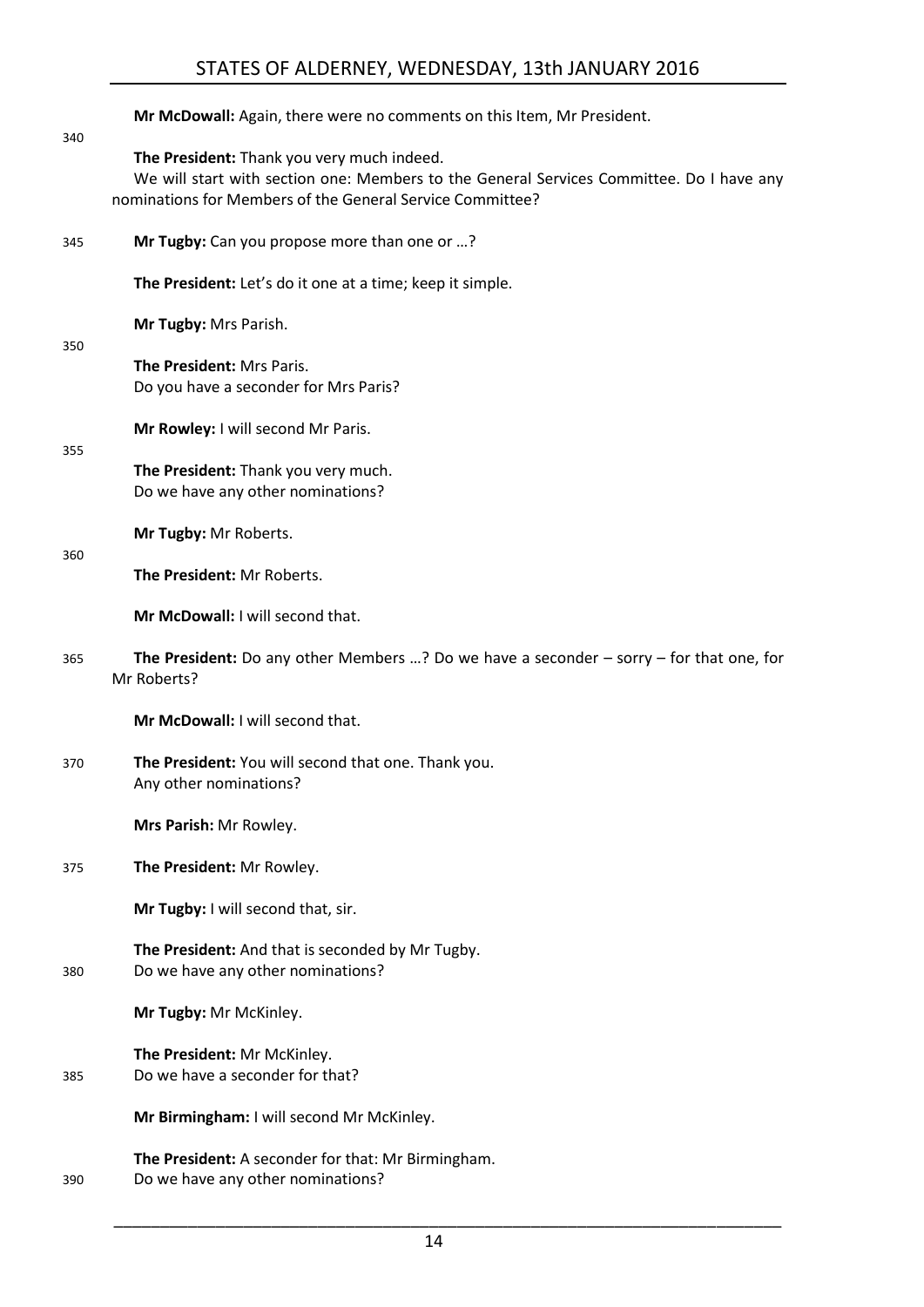|     | Mr McDowall: Again, there were no comments on this Item, Mr President.                                                                                                                              |
|-----|-----------------------------------------------------------------------------------------------------------------------------------------------------------------------------------------------------|
| 340 | The President: Thank you very much indeed.<br>We will start with section one: Members to the General Services Committee. Do I have any<br>nominations for Members of the General Service Committee? |
| 345 | Mr Tugby: Can you propose more than one or ?                                                                                                                                                        |
|     | The President: Let's do it one at a time; keep it simple.                                                                                                                                           |
| 350 | Mr Tugby: Mrs Parish.                                                                                                                                                                               |
|     | The President: Mrs Paris.<br>Do you have a seconder for Mrs Paris?                                                                                                                                  |
| 355 | Mr Rowley: I will second Mr Paris.                                                                                                                                                                  |
|     | The President: Thank you very much.<br>Do we have any other nominations?                                                                                                                            |
| 360 | Mr Tugby: Mr Roberts.                                                                                                                                                                               |
|     | The President: Mr Roberts.                                                                                                                                                                          |
|     | Mr McDowall: I will second that.                                                                                                                                                                    |
| 365 | <b>The President:</b> Do any other Members ? Do we have a seconder $-$ sorry $-$ for that one, for<br>Mr Roberts?                                                                                   |
|     | Mr McDowall: I will second that.                                                                                                                                                                    |
| 370 | The President: You will second that one. Thank you.<br>Any other nominations?                                                                                                                       |
|     | Mrs Parish: Mr Rowley.                                                                                                                                                                              |
| 375 | The President: Mr Rowley.                                                                                                                                                                           |
|     | Mr Tugby: I will second that, sir.                                                                                                                                                                  |
| 380 | The President: And that is seconded by Mr Tugby.<br>Do we have any other nominations?                                                                                                               |
|     | Mr Tugby: Mr McKinley.                                                                                                                                                                              |
| 385 | The President: Mr McKinley.<br>Do we have a seconder for that?                                                                                                                                      |
|     | Mr Birmingham: I will second Mr McKinley.                                                                                                                                                           |
| 390 | The President: A seconder for that: Mr Birmingham.<br>Do we have any other nominations?                                                                                                             |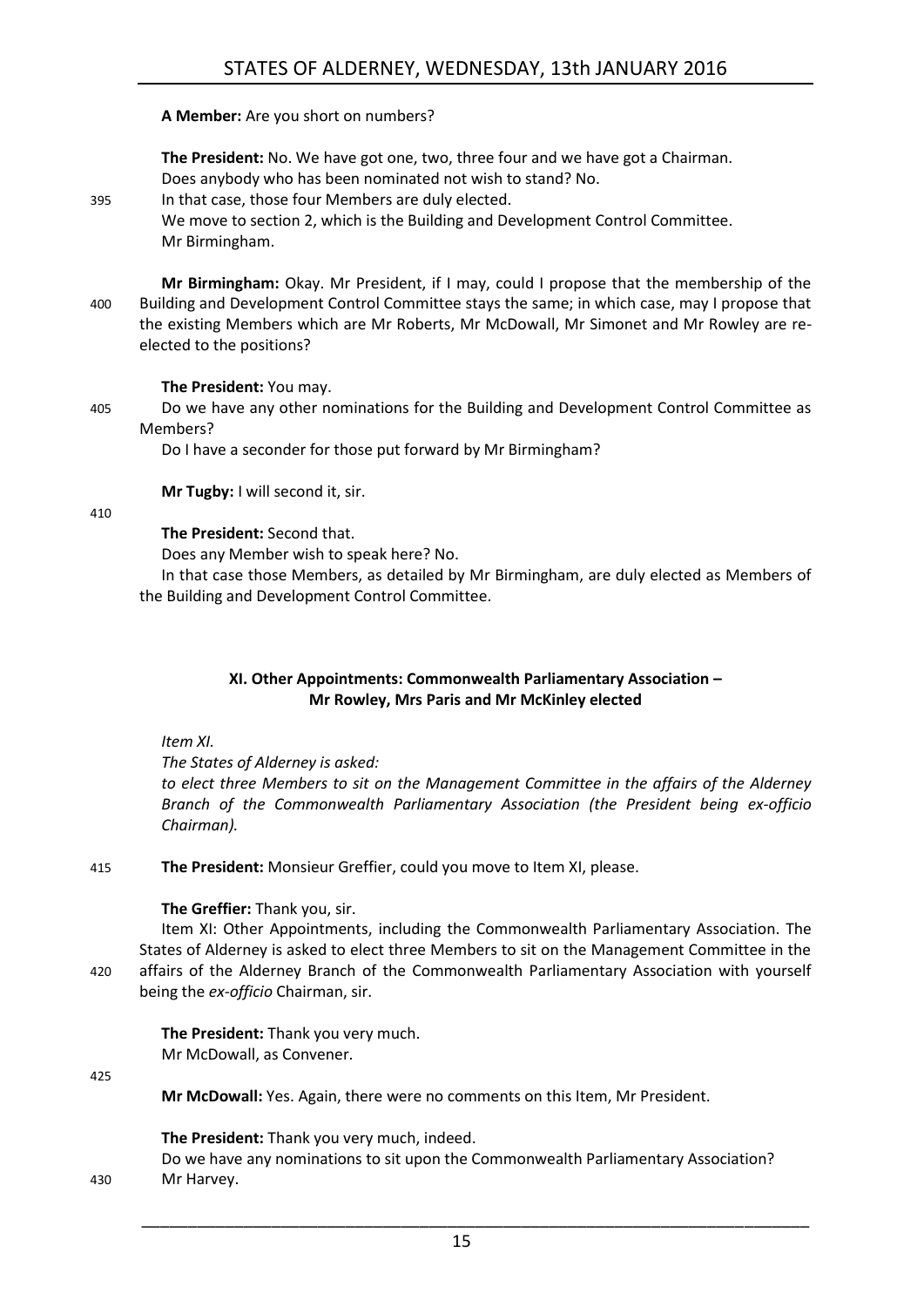### **A Member:** Are you short on numbers?

| 395 | The President: No. We have got one, two, three four and we have got a Chairman.<br>Does anybody who has been nominated not wish to stand? No.<br>In that case, those four Members are duly elected.<br>We move to section 2, which is the Building and Development Control Committee.<br>Mr Birmingham.          |
|-----|------------------------------------------------------------------------------------------------------------------------------------------------------------------------------------------------------------------------------------------------------------------------------------------------------------------|
| 400 | Mr Birmingham: Okay. Mr President, if I may, could I propose that the membership of the<br>Building and Development Control Committee stays the same; in which case, may I propose that<br>the existing Members which are Mr Roberts, Mr McDowall, Mr Simonet and Mr Rowley are re-<br>elected to the positions? |

**The President:** You may.

405 Do we have any other nominations for the Building and Development Control Committee as Members?

Do I have a seconder for those put forward by Mr Birmingham?

**Mr Tugby:** I will second it, sir.

410

### **The President:** Second that.

Does any Member wish to speak here? No.

In that case those Members, as detailed by Mr Birmingham, are duly elected as Members of the Building and Development Control Committee.

### **XI. Other Appointments: Commonwealth Parliamentary Association – Mr Rowley, Mrs Paris and Mr McKinley elected**

<span id="page-14-0"></span>*Item XI.* 

*The States of Alderney is asked:* 

*to elect three Members to sit on the Management Committee in the affairs of the Alderney Branch of the Commonwealth Parliamentary Association (the President being ex-officio Chairman).*

415 **The President:** Monsieur Greffier, could you move to Item XI, please.

### **The Greffier:** Thank you, sir.

Item XI: Other Appointments, including the Commonwealth Parliamentary Association. The States of Alderney is asked to elect three Members to sit on the Management Committee in the 420 affairs of the Alderney Branch of the Commonwealth Parliamentary Association with yourself being the *ex-officio* Chairman, sir.

**The President:** Thank you very much. Mr McDowall, as Convener.

425

**Mr McDowall:** Yes. Again, there were no comments on this Item, Mr President.

**The President:** Thank you very much, indeed.

Do we have any nominations to sit upon the Commonwealth Parliamentary Association? 430 Mr Harvey.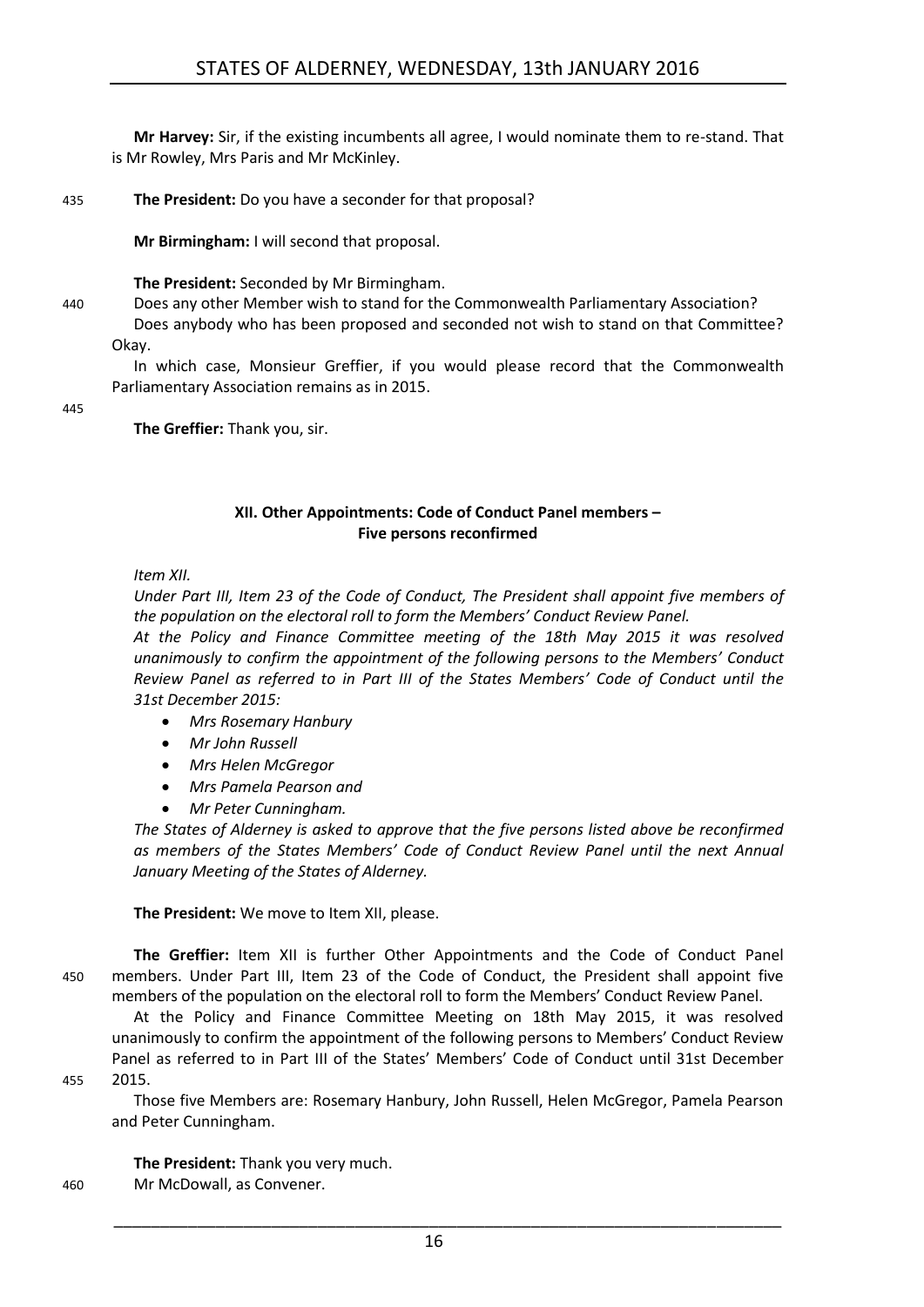**Mr Harvey:** Sir, if the existing incumbents all agree, I would nominate them to re-stand. That is Mr Rowley, Mrs Paris and Mr McKinley.

435 **The President:** Do you have a seconder for that proposal?

**Mr Birmingham:** I will second that proposal.

**The President:** Seconded by Mr Birmingham.

440 Does any other Member wish to stand for the Commonwealth Parliamentary Association?

Does anybody who has been proposed and seconded not wish to stand on that Committee? Okay.

In which case, Monsieur Greffier, if you would please record that the Commonwealth Parliamentary Association remains as in 2015.

445

**The Greffier:** Thank you, sir.

### **XII. Other Appointments: Code of Conduct Panel members – Five persons reconfirmed**

<span id="page-15-0"></span>*Item XII.* 

*Under Part III, Item 23 of the Code of Conduct, The President shall appoint five members of the population on the electoral roll to form the Members' Conduct Review Panel.*

*At the Policy and Finance Committee meeting of the 18th May 2015 it was resolved unanimously to confirm the appointment of the following persons to the Members' Conduct Review Panel as referred to in Part III of the States Members' Code of Conduct until the 31st December 2015:*

- *Mrs Rosemary Hanbury*
- *Mr John Russell*
- *Mrs Helen McGregor*
- *Mrs Pamela Pearson and*
- *Mr Peter Cunningham.*

*The States of Alderney is asked to approve that the five persons listed above be reconfirmed as members of the States Members' Code of Conduct Review Panel until the next Annual January Meeting of the States of Alderney.*

**The President:** We move to Item XII, please.

**The Greffier:** Item XII is further Other Appointments and the Code of Conduct Panel 450 members. Under Part III, Item 23 of the Code of Conduct, the President shall appoint five members of the population on the electoral roll to form the Members' Conduct Review Panel.

At the Policy and Finance Committee Meeting on 18th May 2015, it was resolved unanimously to confirm the appointment of the following persons to Members' Conduct Review Panel as referred to in Part III of the States' Members' Code of Conduct until 31st December

455 2015.

Those five Members are: Rosemary Hanbury, John Russell, Helen McGregor, Pamela Pearson and Peter Cunningham.

**The President:** Thank you very much. 460 Mr McDowall, as Convener.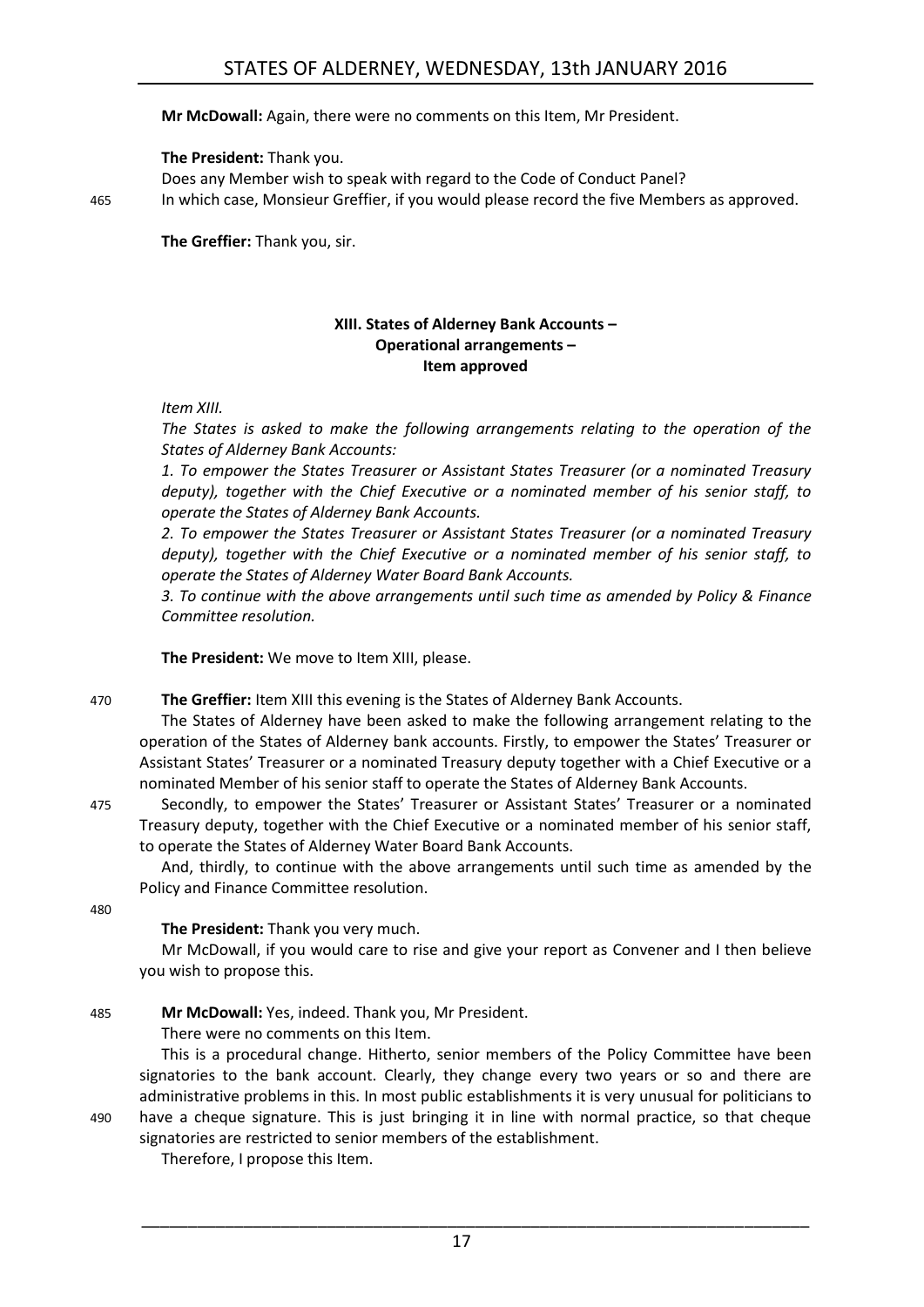**Mr McDowall:** Again, there were no comments on this Item, Mr President.

### **The President:** Thank you.

Does any Member wish to speak with regard to the Code of Conduct Panel? 465 In which case, Monsieur Greffier, if you would please record the five Members as approved.

<span id="page-16-0"></span>**The Greffier:** Thank you, sir.

### **XIII. States of Alderney Bank Accounts – Operational arrangements – Item approved**

*Item XIII.*

*The States is asked to make the following arrangements relating to the operation of the States of Alderney Bank Accounts:*

*1. To empower the States Treasurer or Assistant States Treasurer (or a nominated Treasury deputy), together with the Chief Executive or a nominated member of his senior staff, to operate the States of Alderney Bank Accounts.* 

*2. To empower the States Treasurer or Assistant States Treasurer (or a nominated Treasury deputy), together with the Chief Executive or a nominated member of his senior staff, to operate the States of Alderney Water Board Bank Accounts.* 

*3. To continue with the above arrangements until such time as amended by Policy & Finance Committee resolution.* 

**The President:** We move to Item XIII, please.

470 **The Greffier:** Item XIII this evening is the States of Alderney Bank Accounts.

The States of Alderney have been asked to make the following arrangement relating to the operation of the States of Alderney bank accounts. Firstly, to empower the States' Treasurer or Assistant States' Treasurer or a nominated Treasury deputy together with a Chief Executive or a nominated Member of his senior staff to operate the States of Alderney Bank Accounts.

475 Secondly, to empower the States' Treasurer or Assistant States' Treasurer or a nominated Treasury deputy, together with the Chief Executive or a nominated member of his senior staff, to operate the States of Alderney Water Board Bank Accounts.

And, thirdly, to continue with the above arrangements until such time as amended by the Policy and Finance Committee resolution.

480

### **The President:** Thank you very much.

Mr McDowall, if you would care to rise and give your report as Convener and I then believe you wish to propose this.

485 **Mr McDowall:** Yes, indeed. Thank you, Mr President.

There were no comments on this Item.

This is a procedural change. Hitherto, senior members of the Policy Committee have been signatories to the bank account. Clearly, they change every two years or so and there are administrative problems in this. In most public establishments it is very unusual for politicians to 490 have a cheque signature. This is just bringing it in line with normal practice, so that cheque signatories are restricted to senior members of the establishment.

Therefore, I propose this Item.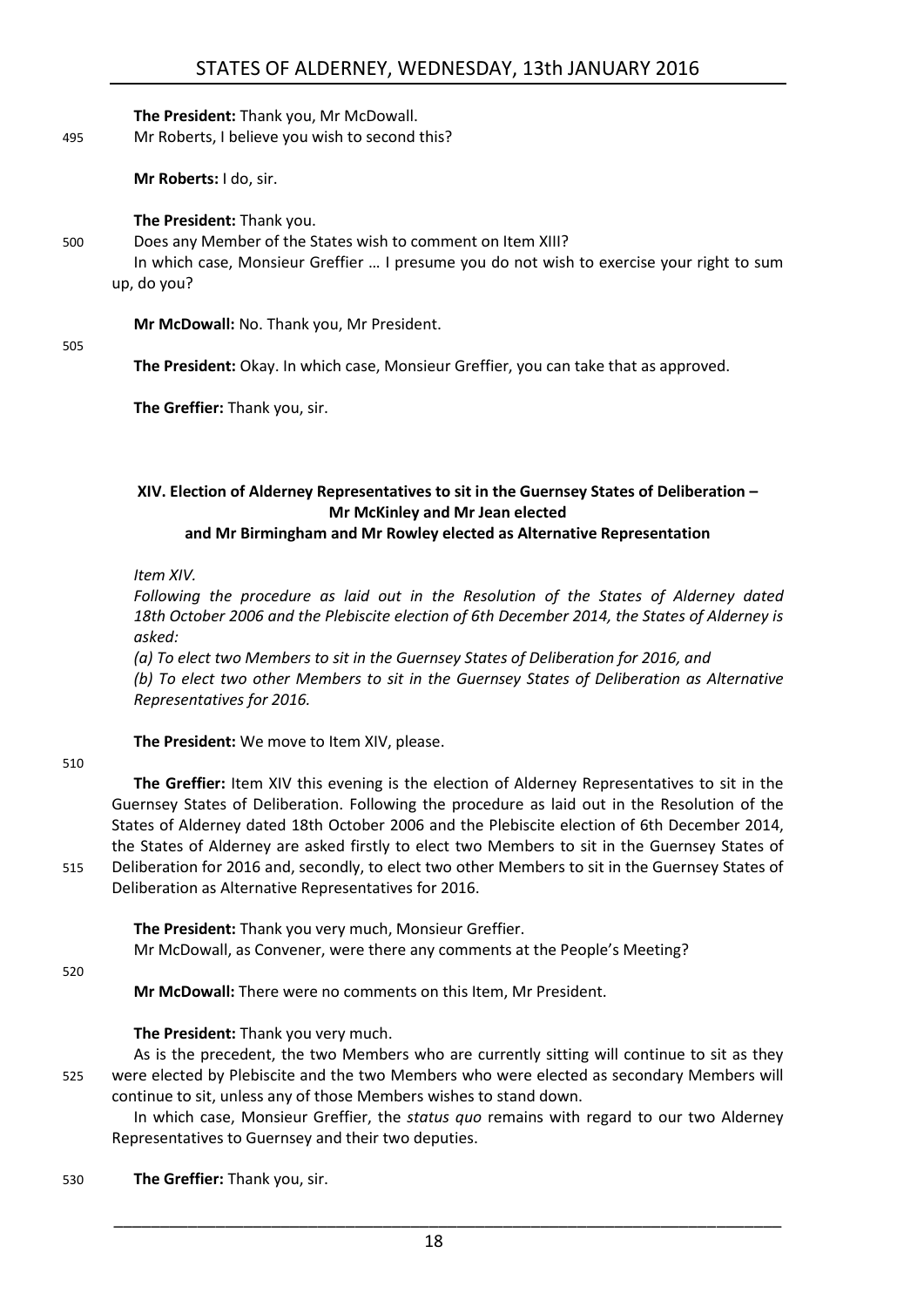### **The President:** Thank you, Mr McDowall.

495 Mr Roberts, I believe you wish to second this?

**Mr Roberts:** I do, sir.

**The President:** Thank you.

500 Does any Member of the States wish to comment on Item XIII?

In which case, Monsieur Greffier … I presume you do not wish to exercise your right to sum up, do you?

**Mr McDowall:** No. Thank you, Mr President.

505

**The President:** Okay. In which case, Monsieur Greffier, you can take that as approved.

**The Greffier:** Thank you, sir.

### <span id="page-17-0"></span>**XIV. Election of Alderney Representatives to sit in the Guernsey States of Deliberation – Mr McKinley and Mr Jean elected**

### **and Mr Birmingham and Mr Rowley elected as Alternative Representation**

*Item XIV.*

*Following the procedure as laid out in the Resolution of the States of Alderney dated 18th October 2006 and the Plebiscite election of 6th December 2014, the States of Alderney is asked:*

*(a) To elect two Members to sit in the Guernsey States of Deliberation for 2016, and (b) To elect two other Members to sit in the Guernsey States of Deliberation as Alternative Representatives for 2016.*

**The President:** We move to Item XIV, please.

### 510

**The Greffier:** Item XIV this evening is the election of Alderney Representatives to sit in the Guernsey States of Deliberation. Following the procedure as laid out in the Resolution of the States of Alderney dated 18th October 2006 and the Plebiscite election of 6th December 2014, the States of Alderney are asked firstly to elect two Members to sit in the Guernsey States of 515 Deliberation for 2016 and, secondly, to elect two other Members to sit in the Guernsey States of Deliberation as Alternative Representatives for 2016.

**The President:** Thank you very much, Monsieur Greffier. Mr McDowall, as Convener, were there any comments at the People's Meeting?

520

**Mr McDowall:** There were no comments on this Item, Mr President.

**The President:** Thank you very much.

As is the precedent, the two Members who are currently sitting will continue to sit as they 525 were elected by Plebiscite and the two Members who were elected as secondary Members will continue to sit, unless any of those Members wishes to stand down.

In which case, Monsieur Greffier, the *status quo* remains with regard to our two Alderney Representatives to Guernsey and their two deputies.

530 **The Greffier:** Thank you, sir.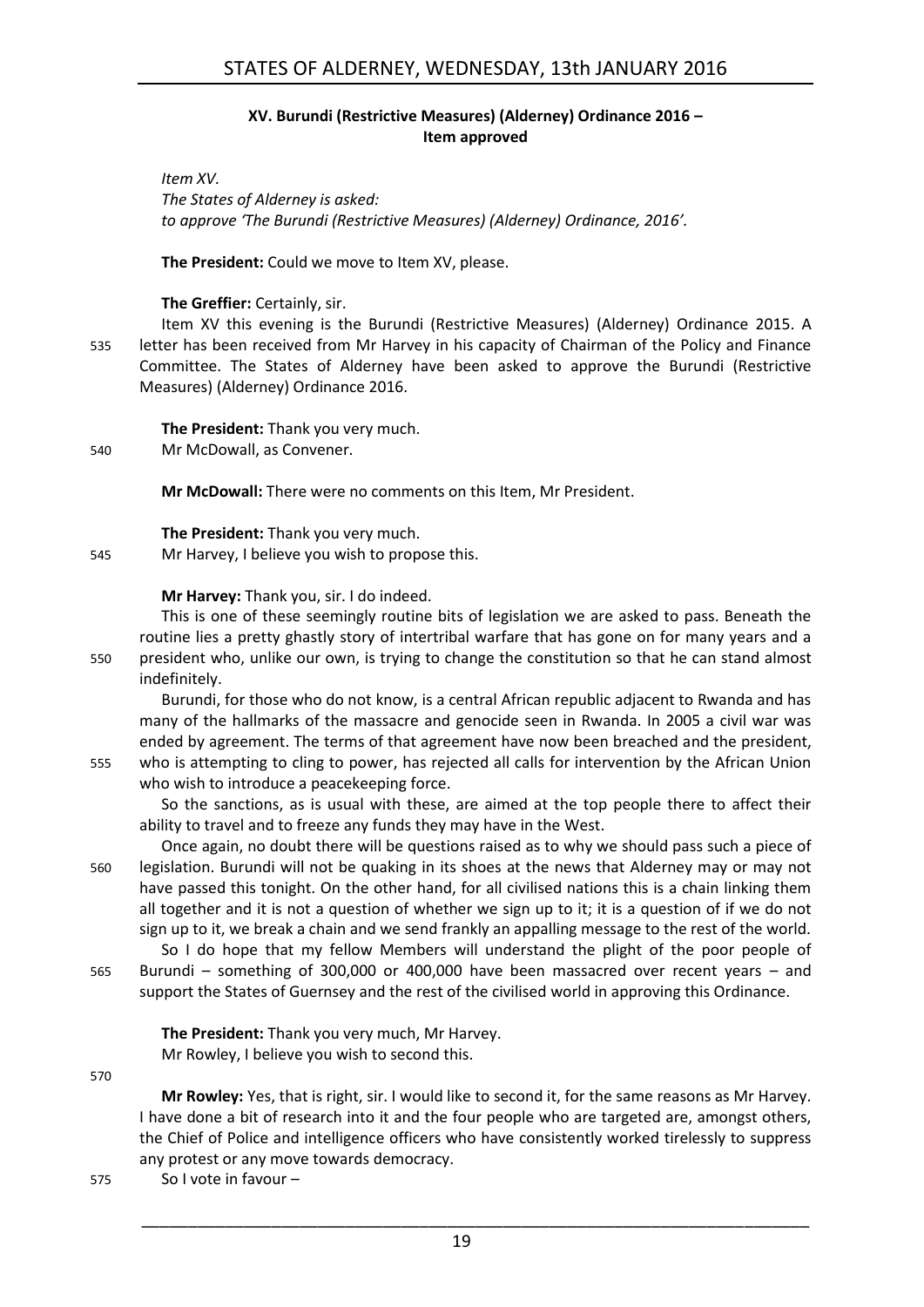### **XV. Burundi (Restrictive Measures) (Alderney) Ordinance 2016 – Item approved**

<span id="page-18-0"></span>*Item XV. The States of Alderney is asked: to approve 'The Burundi (Restrictive Measures) (Alderney) Ordinance, 2016'.*

**The President:** Could we move to Item XV, please.

### **The Greffier:** Certainly, sir.

Item XV this evening is the Burundi (Restrictive Measures) (Alderney) Ordinance 2015. A 535 letter has been received from Mr Harvey in his capacity of Chairman of the Policy and Finance Committee. The States of Alderney have been asked to approve the Burundi (Restrictive Measures) (Alderney) Ordinance 2016.

**The President:** Thank you very much.

540 Mr McDowall, as Convener.

**Mr McDowall:** There were no comments on this Item, Mr President.

**The President:** Thank you very much.

545 Mr Harvey, I believe you wish to propose this.

**Mr Harvey:** Thank you, sir. I do indeed.

This is one of these seemingly routine bits of legislation we are asked to pass. Beneath the routine lies a pretty ghastly story of intertribal warfare that has gone on for many years and a 550 president who, unlike our own, is trying to change the constitution so that he can stand almost indefinitely.

Burundi, for those who do not know, is a central African republic adjacent to Rwanda and has many of the hallmarks of the massacre and genocide seen in Rwanda. In 2005 a civil war was ended by agreement. The terms of that agreement have now been breached and the president, 555 who is attempting to cling to power, has rejected all calls for intervention by the African Union

who wish to introduce a peacekeeping force.

So the sanctions, as is usual with these, are aimed at the top people there to affect their ability to travel and to freeze any funds they may have in the West.

Once again, no doubt there will be questions raised as to why we should pass such a piece of 560 legislation. Burundi will not be quaking in its shoes at the news that Alderney may or may not have passed this tonight. On the other hand, for all civilised nations this is a chain linking them all together and it is not a question of whether we sign up to it; it is a question of if we do not sign up to it, we break a chain and we send frankly an appalling message to the rest of the world.

So I do hope that my fellow Members will understand the plight of the poor people of 565 Burundi – something of 300,000 or 400,000 have been massacred over recent years – and support the States of Guernsey and the rest of the civilised world in approving this Ordinance.

**The President:** Thank you very much, Mr Harvey. Mr Rowley, I believe you wish to second this.

570

**Mr Rowley:** Yes, that is right, sir. I would like to second it, for the same reasons as Mr Harvey. I have done a bit of research into it and the four people who are targeted are, amongst others, the Chief of Police and intelligence officers who have consistently worked tirelessly to suppress any protest or any move towards democracy.

575 So I vote in favour –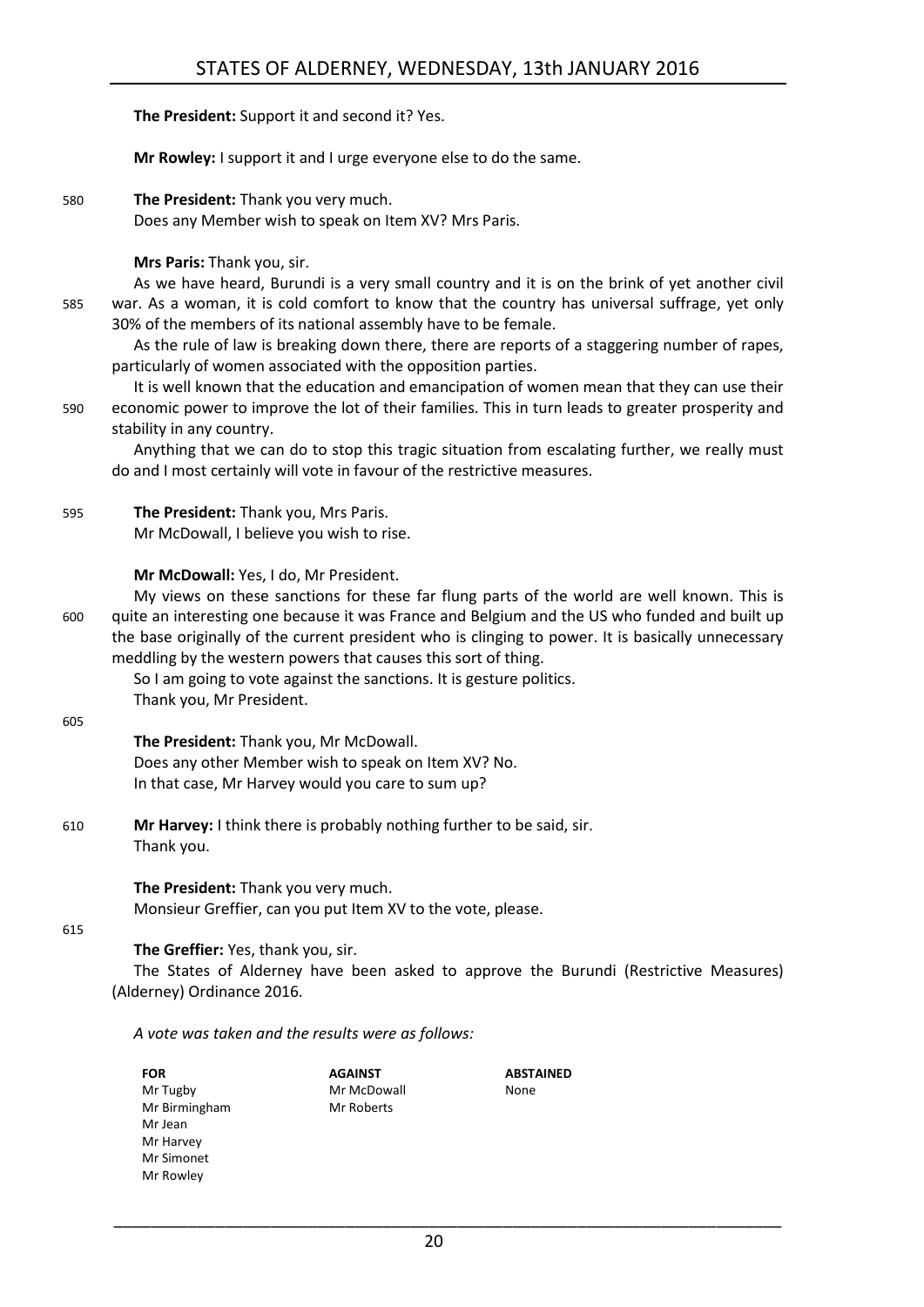### **The President:** Support it and second it? Yes.

**Mr Rowley:** I support it and I urge everyone else to do the same.

580 **The President:** Thank you very much. Does any Member wish to speak on Item XV? Mrs Paris.

**Mrs Paris:** Thank you, sir.

As we have heard, Burundi is a very small country and it is on the brink of yet another civil 585 war. As a woman, it is cold comfort to know that the country has universal suffrage, yet only 30% of the members of its national assembly have to be female.

As the rule of law is breaking down there, there are reports of a staggering number of rapes, particularly of women associated with the opposition parties.

It is well known that the education and emancipation of women mean that they can use their 590 economic power to improve the lot of their families. This in turn leads to greater prosperity and stability in any country.

Anything that we can do to stop this tragic situation from escalating further, we really must do and I most certainly will vote in favour of the restrictive measures.

595 **The President:** Thank you, Mrs Paris. Mr McDowall, I believe you wish to rise.

**Mr McDowall:** Yes, I do, Mr President.

My views on these sanctions for these far flung parts of the world are well known. This is 600 quite an interesting one because it was France and Belgium and the US who funded and built up the base originally of the current president who is clinging to power. It is basically unnecessary meddling by the western powers that causes this sort of thing.

So I am going to vote against the sanctions. It is gesture politics. Thank you, Mr President.

605

**The President:** Thank you, Mr McDowall. Does any other Member wish to speak on Item XV? No. In that case, Mr Harvey would you care to sum up?

610 **Mr Harvey:** I think there is probably nothing further to be said, sir. Thank you.

> **The President:** Thank you very much. Monsieur Greffier, can you put Item XV to the vote, please.

#### 615

**The Greffier:** Yes, thank you, sir.

The States of Alderney have been asked to approve the Burundi (Restrictive Measures) (Alderney) Ordinance 2016.

*A vote was taken and the results were as follows:*

| <b>FOR</b>    | <b>AGAINST</b> | <b>ABSTAINED</b> |
|---------------|----------------|------------------|
| Mr Tugby      | Mr McDowall    | None             |
| Mr Birmingham | Mr Roberts     |                  |
| Mr Jean       |                |                  |
| Mr Harvey     |                |                  |
| Mr Simonet    |                |                  |
| Mr Rowley     |                |                  |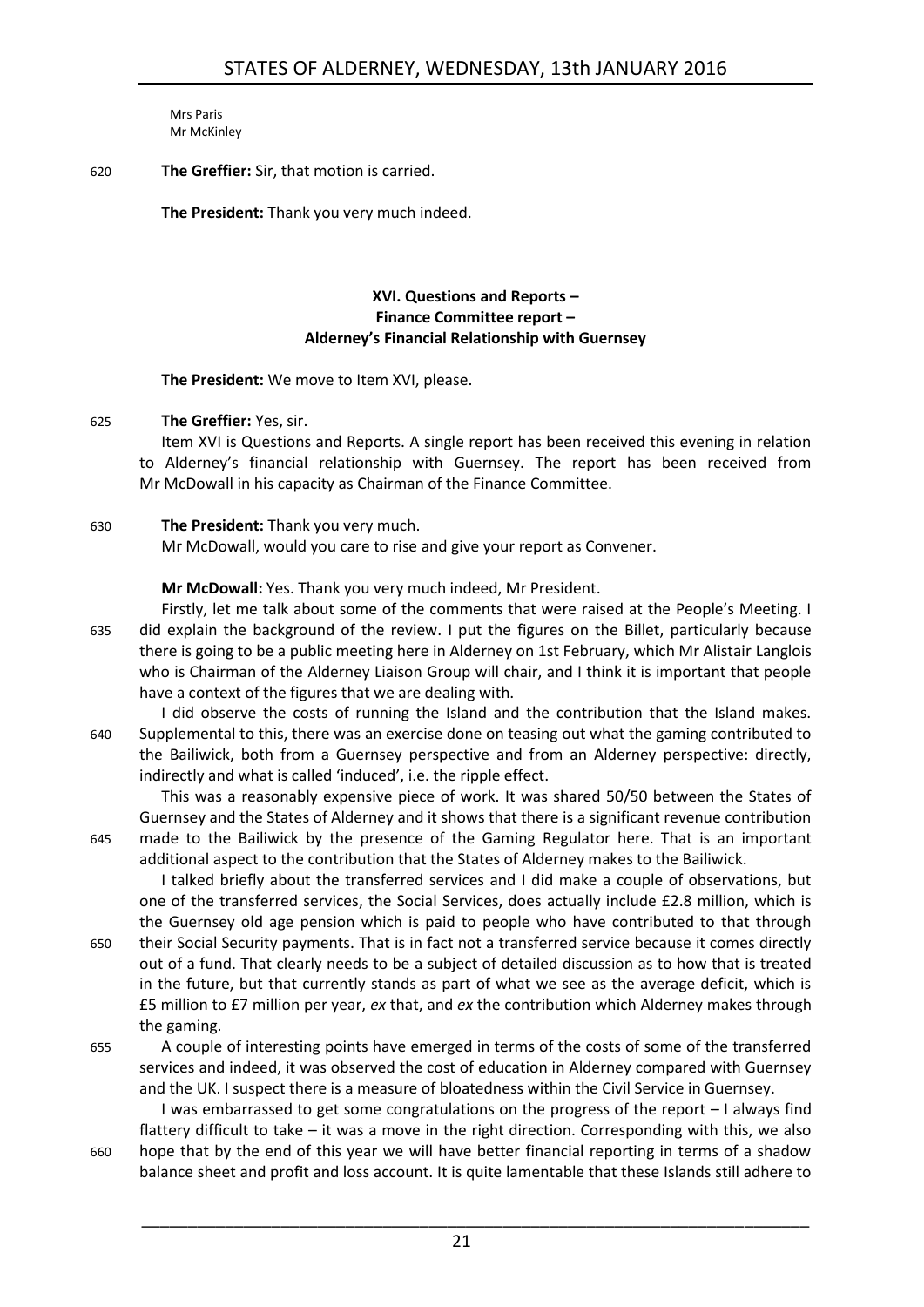Mrs Paris Mr McKinley

620 **The Greffier:** Sir, that motion is carried.

<span id="page-20-0"></span>**The President:** Thank you very much indeed.

### **XVI. Questions and Reports – Finance Committee report – Alderney's Financial Relationship with Guernsey**

**The President:** We move to Item XVI, please.

625 **The Greffier:** Yes, sir.

Item XVI is Questions and Reports. A single report has been received this evening in relation to Alderney's financial relationship with Guernsey. The report has been received from Mr McDowall in his capacity as Chairman of the Finance Committee.

630 **The President:** Thank you very much.

Mr McDowall, would you care to rise and give your report as Convener.

**Mr McDowall:** Yes. Thank you very much indeed, Mr President.

- Firstly, let me talk about some of the comments that were raised at the People's Meeting. I 635 did explain the background of the review. I put the figures on the Billet, particularly because there is going to be a public meeting here in Alderney on 1st February, which Mr Alistair Langlois who is Chairman of the Alderney Liaison Group will chair, and I think it is important that people have a context of the figures that we are dealing with.
- I did observe the costs of running the Island and the contribution that the Island makes. 640 Supplemental to this, there was an exercise done on teasing out what the gaming contributed to the Bailiwick, both from a Guernsey perspective and from an Alderney perspective: directly, indirectly and what is called 'induced', i.e. the ripple effect.

This was a reasonably expensive piece of work. It was shared 50/50 between the States of Guernsey and the States of Alderney and it shows that there is a significant revenue contribution 645 made to the Bailiwick by the presence of the Gaming Regulator here. That is an important additional aspect to the contribution that the States of Alderney makes to the Bailiwick.

I talked briefly about the transferred services and I did make a couple of observations, but one of the transferred services, the Social Services, does actually include £2.8 million, which is the Guernsey old age pension which is paid to people who have contributed to that through 650 their Social Security payments. That is in fact not a transferred service because it comes directly out of a fund. That clearly needs to be a subject of detailed discussion as to how that is treated in the future, but that currently stands as part of what we see as the average deficit, which is £5 million to £7 million per year, *ex* that, and *ex* the contribution which Alderney makes through the gaming.

655 A couple of interesting points have emerged in terms of the costs of some of the transferred services and indeed, it was observed the cost of education in Alderney compared with Guernsey and the UK. I suspect there is a measure of bloatedness within the Civil Service in Guernsey.

I was embarrassed to get some congratulations on the progress of the report – I always find flattery difficult to take – it was a move in the right direction. Corresponding with this, we also 660 hope that by the end of this year we will have better financial reporting in terms of a shadow

balance sheet and profit and loss account. It is quite lamentable that these Islands still adhere to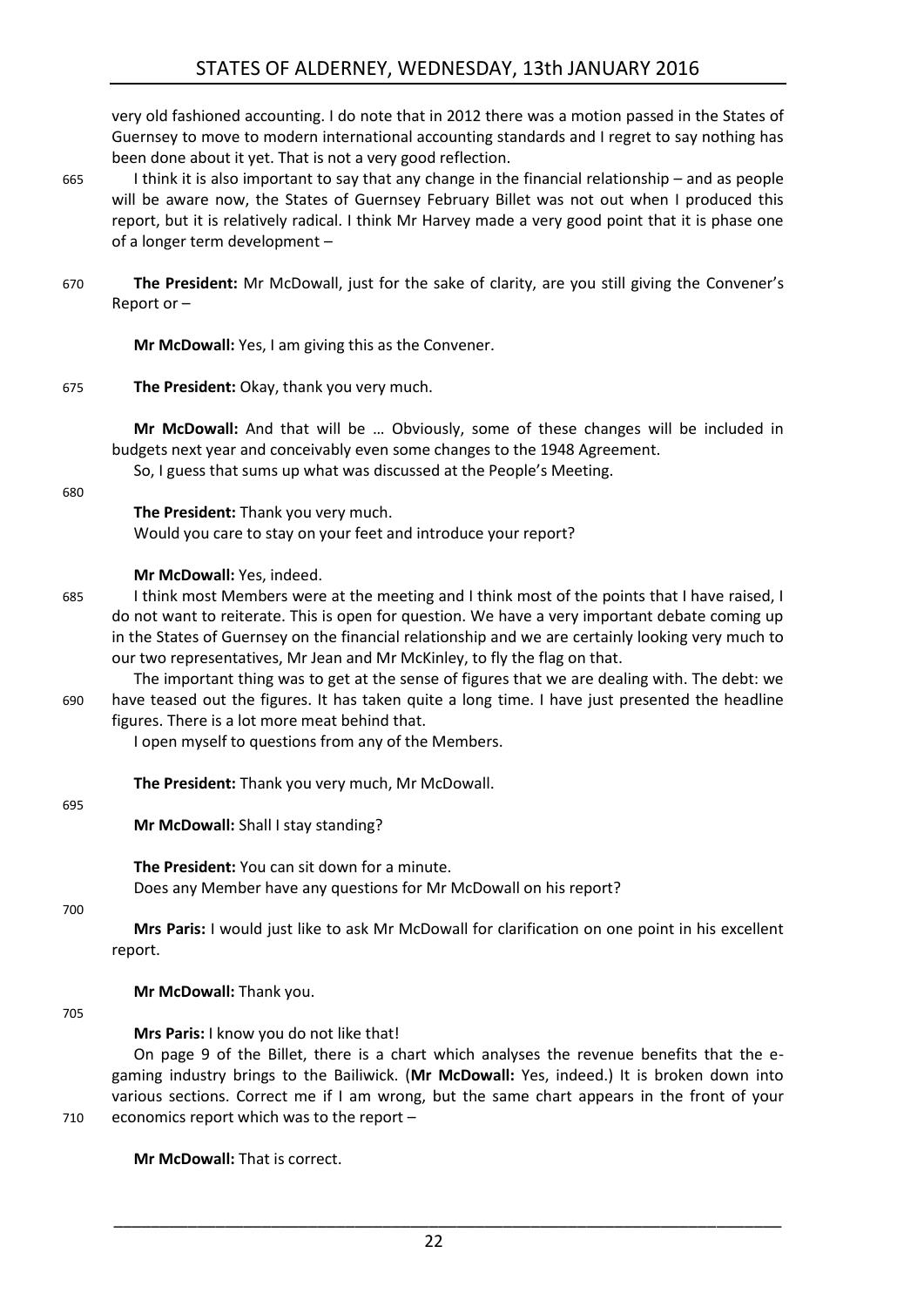very old fashioned accounting. I do note that in 2012 there was a motion passed in the States of Guernsey to move to modern international accounting standards and I regret to say nothing has been done about it yet. That is not a very good reflection.

- 665 I think it is also important to say that any change in the financial relationship and as people will be aware now, the States of Guernsey February Billet was not out when I produced this report, but it is relatively radical. I think Mr Harvey made a very good point that it is phase one of a longer term development –
- 670 **The President:** Mr McDowall, just for the sake of clarity, are you still giving the Convener's Report or –

**Mr McDowall:** Yes, I am giving this as the Convener.

675 **The President:** Okay, thank you very much.

**Mr McDowall:** And that will be … Obviously, some of these changes will be included in budgets next year and conceivably even some changes to the 1948 Agreement.

So, I guess that sums up what was discussed at the People's Meeting.

#### 680

**The President:** Thank you very much. Would you care to stay on your feet and introduce your report?

**Mr McDowall:** Yes, indeed.

- 685 I think most Members were at the meeting and I think most of the points that I have raised, I do not want to reiterate. This is open for question. We have a very important debate coming up in the States of Guernsey on the financial relationship and we are certainly looking very much to our two representatives, Mr Jean and Mr McKinley, to fly the flag on that.
- The important thing was to get at the sense of figures that we are dealing with. The debt: we 690 have teased out the figures. It has taken quite a long time. I have just presented the headline figures. There is a lot more meat behind that.

I open myself to questions from any of the Members.

**The President:** Thank you very much, Mr McDowall.

#### 695

**Mr McDowall:** Shall I stay standing?

**The President:** You can sit down for a minute. Does any Member have any questions for Mr McDowall on his report?

#### 700

**Mrs Paris:** I would just like to ask Mr McDowall for clarification on one point in his excellent report.

**Mr McDowall:** Thank you.

705

### **Mrs Paris:** I know you do not like that!

On page 9 of the Billet, there is a chart which analyses the revenue benefits that the egaming industry brings to the Bailiwick. (**Mr McDowall:** Yes, indeed.) It is broken down into various sections. Correct me if I am wrong, but the same chart appears in the front of your 710 economics report which was to the report –

**Mr McDowall:** That is correct.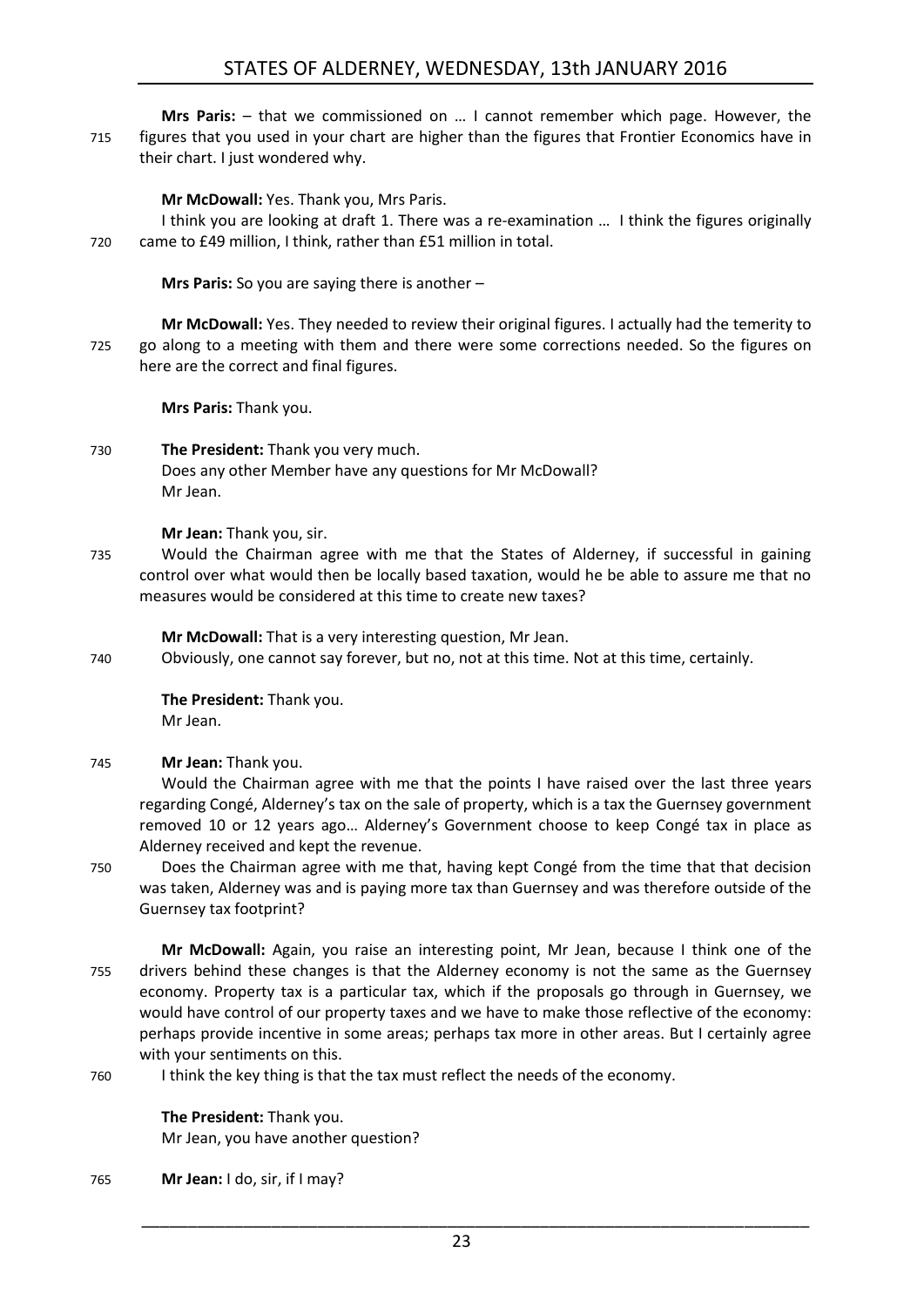**Mrs Paris:** – that we commissioned on … I cannot remember which page. However, the 715 figures that you used in your chart are higher than the figures that Frontier Economics have in their chart. I just wondered why.

**Mr McDowall:** Yes. Thank you, Mrs Paris.

I think you are looking at draft 1. There was a re-examination … I think the figures originally 720 came to £49 million, I think, rather than £51 million in total.

**Mrs Paris:** So you are saying there is another –

**Mr McDowall:** Yes. They needed to review their original figures. I actually had the temerity to 725 go along to a meeting with them and there were some corrections needed. So the figures on here are the correct and final figures.

**Mrs Paris:** Thank you.

730 **The President:** Thank you very much. Does any other Member have any questions for Mr McDowall? Mr Jean.

**Mr Jean:** Thank you, sir.

735 Would the Chairman agree with me that the States of Alderney, if successful in gaining control over what would then be locally based taxation, would he be able to assure me that no measures would be considered at this time to create new taxes?

**Mr McDowall:** That is a very interesting question, Mr Jean.

740 Obviously, one cannot say forever, but no, not at this time. Not at this time, certainly.

**The President:** Thank you. Mr Jean.

### 745 **Mr Jean:** Thank you.

Would the Chairman agree with me that the points I have raised over the last three years regarding Congé, Alderney's tax on the sale of property, which is a tax the Guernsey government removed 10 or 12 years ago… Alderney's Government choose to keep Congé tax in place as Alderney received and kept the revenue.

- 750 Does the Chairman agree with me that, having kept Congé from the time that that decision was taken, Alderney was and is paying more tax than Guernsey and was therefore outside of the Guernsey tax footprint?
- **Mr McDowall:** Again, you raise an interesting point, Mr Jean, because I think one of the 755 drivers behind these changes is that the Alderney economy is not the same as the Guernsey economy. Property tax is a particular tax, which if the proposals go through in Guernsey, we would have control of our property taxes and we have to make those reflective of the economy: perhaps provide incentive in some areas; perhaps tax more in other areas. But I certainly agree with your sentiments on this.
- 760 I think the key thing is that the tax must reflect the needs of the economy.

**The President:** Thank you.

Mr Jean, you have another question?

765 **Mr Jean:** I do, sir, if I may?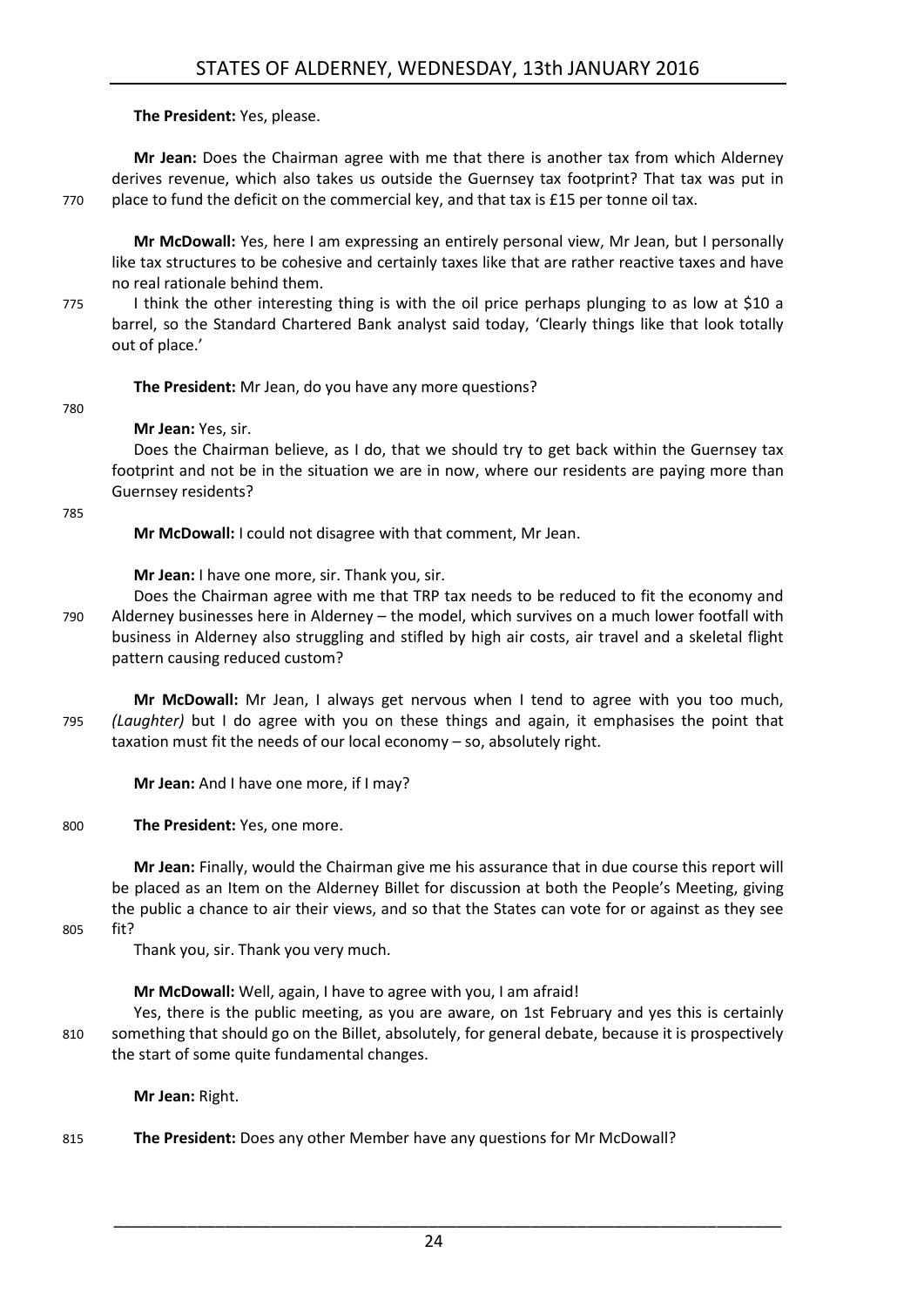### **The President:** Yes, please.

**Mr Jean:** Does the Chairman agree with me that there is another tax from which Alderney derives revenue, which also takes us outside the Guernsey tax footprint? That tax was put in 770 place to fund the deficit on the commercial key, and that tax is £15 per tonne oil tax.

**Mr McDowall:** Yes, here I am expressing an entirely personal view, Mr Jean, but I personally like tax structures to be cohesive and certainly taxes like that are rather reactive taxes and have no real rationale behind them.

775 I think the other interesting thing is with the oil price perhaps plunging to as low at \$10 a barrel, so the Standard Chartered Bank analyst said today, 'Clearly things like that look totally out of place.'

**The President:** Mr Jean, do you have any more questions?

780

### **Mr Jean:** Yes, sir.

Does the Chairman believe, as I do, that we should try to get back within the Guernsey tax footprint and not be in the situation we are in now, where our residents are paying more than Guernsey residents?

785

**Mr McDowall:** I could not disagree with that comment, Mr Jean.

**Mr Jean:** I have one more, sir. Thank you, sir.

- Does the Chairman agree with me that TRP tax needs to be reduced to fit the economy and 790 Alderney businesses here in Alderney – the model, which survives on a much lower footfall with business in Alderney also struggling and stifled by high air costs, air travel and a skeletal flight pattern causing reduced custom?
- **Mr McDowall:** Mr Jean, I always get nervous when I tend to agree with you too much, 795 *(Laughter)* but I do agree with you on these things and again, it emphasises the point that taxation must fit the needs of our local economy – so, absolutely right.

**Mr Jean:** And I have one more, if I may?

800 **The President:** Yes, one more.

**Mr Jean:** Finally, would the Chairman give me his assurance that in due course this report will be placed as an Item on the Alderney Billet for discussion at both the People's Meeting, giving the public a chance to air their views, and so that the States can vote for or against as they see 805 fit?

Thank you, sir. Thank you very much.

### **Mr McDowall:** Well, again, I have to agree with you, I am afraid!

Yes, there is the public meeting, as you are aware, on 1st February and yes this is certainly 810 something that should go on the Billet, absolutely, for general debate, because it is prospectively the start of some quite fundamental changes.

**Mr Jean:** Right.

815 **The President:** Does any other Member have any questions for Mr McDowall?